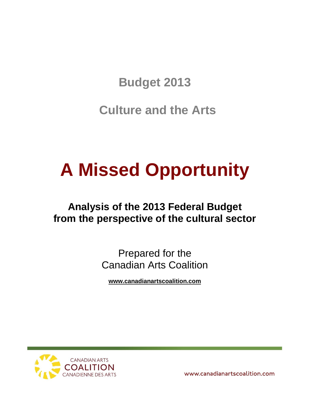**Budget 2013**

**Culture and the Arts**

# **A Missed Opportunity**

# **Analysis of the 2013 Federal Budget from the perspective of the cultural sector**

Prepared for the Canadian Arts Coalition

**[www.canadianartscoalition.com](http://www.canadianartscoalition.com/)**

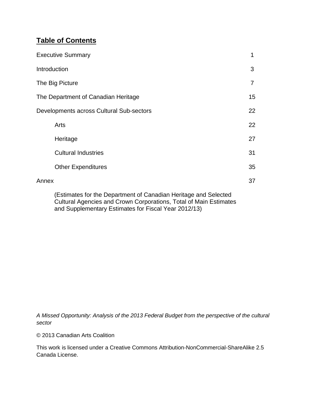# **Table of Contents**

| <b>Executive Summary</b>                 | 1  |
|------------------------------------------|----|
| Introduction                             | 3  |
| The Big Picture                          | 7  |
| The Department of Canadian Heritage      | 15 |
| Developments across Cultural Sub-sectors | 22 |
| Arts                                     | 22 |
| Heritage                                 | 27 |
| <b>Cultural Industries</b>               | 31 |
| <b>Other Expenditures</b>                | 35 |
| Annex                                    | 37 |
|                                          |    |

(Estimates for the Department of Canadian Heritage and Selected Cultural Agencies and Crown Corporations, Total of Main Estimates and Supplementary Estimates for Fiscal Year 2012/13)

*A Missed Opportunity: Analysis of the 2013 Federal Budget from the perspective of the cultural sector*

© 2013 Canadian Arts Coalition

This work is licensed under a Creative Commons Attribution-NonCommercial-ShareAlike 2.5 Canada License.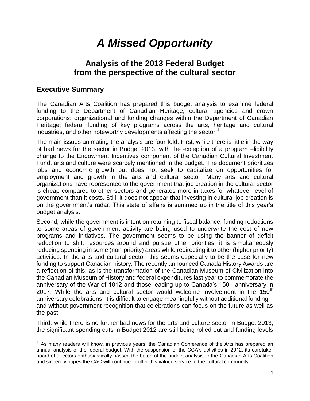# *A Missed Opportunity*

# **Analysis of the 2013 Federal Budget from the perspective of the cultural sector**

### **Executive Summary**

The Canadian Arts Coalition has prepared this budget analysis to examine federal funding to the Department of Canadian Heritage, cultural agencies and crown corporations; organizational and funding changes within the Department of Canadian Heritage; federal funding of key programs across the arts, heritage and cultural industries, and other noteworthy developments affecting the sector.<sup>1</sup>

The main issues animating the analysis are four-fold. First, while there is little in the way of bad news for the sector in Budget 2013, with the exception of a program eligibility change to the Endowment Incentives component of the Canadian Cultural Investment Fund, arts and culture were scarcely mentioned in the budget. The document prioritizes jobs and economic growth but does not seek to capitalize on opportunities for employment and growth in the arts and cultural sector. Many arts and cultural organizations have represented to the government that job creation in the cultural sector is cheap compared to other sectors and generates more in taxes for whatever level of government than it costs. Still, it does not appear that investing in cultural job creation is on the government's radar. This state of affairs is summed up in the title of this year's budget analysis.

Second, while the government is intent on returning to fiscal balance, funding reductions to some areas of government activity are being used to underwrite the cost of new programs and initiatives. The government seems to be using the banner of deficit reduction to shift resources around and pursue other priorities: it is simultaneously reducing spending in some (non-priority) areas while redirecting it to other (higher priority) activities. In the arts and cultural sector, this seems especially to be the case for new funding to support Canadian history. The recently announced Canada History Awards are a reflection of this, as is the transformation of the Canadian Museum of Civilization into the Canadian Museum of History and federal expenditures last year to commemorate the anniversary of the War of 1812 and those leading up to Canada's 150<sup>th</sup> anniversary in 2017. While the arts and cultural sector would welcome involvement in the  $150<sup>th</sup>$ anniversary celebrations, it is difficult to engage meaningfully without additional funding – and without government recognition that celebrations can focus on the future as well as the past.

Third, while there is no further bad news for the arts and culture sector in Budget 2013, the significant spending cuts in Budget 2012 are still being rolled out and funding levels

<sup>1</sup>  $1$  As many readers will know, in previous years, the Canadian Conference of the Arts has prepared an annual analysis of the federal budget. With the suspension of the CCA's activities in 2012, its caretaker board of directors enthusiastically passed the baton of the budget analysis to the Canadian Arts Coalition and sincerely hopes the CAC will continue to offer this valued service to the cultural community.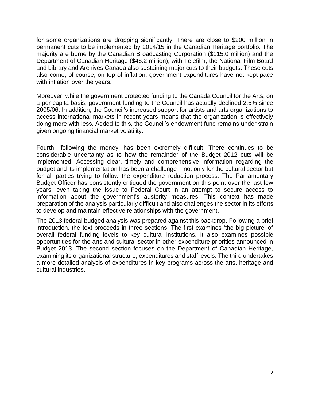for some organizations are dropping significantly. There are close to \$200 million in permanent cuts to be implemented by 2014/15 in the Canadian Heritage portfolio. The majority are borne by the Canadian Broadcasting Corporation (\$115.0 million) and the Department of Canadian Heritage (\$46.2 million), with Telefilm, the National Film Board and Library and Archives Canada also sustaining major cuts to their budgets. These cuts also come, of course, on top of inflation: government expenditures have not kept pace with inflation over the years.

Moreover, while the government protected funding to the Canada Council for the Arts, on a per capita basis, government funding to the Council has actually declined 2.5% since 2005/06. In addition, the Council's increased support for artists and arts organizations to access international markets in recent years means that the organization is effectively doing more with less. Added to this, the Council's endowment fund remains under strain given ongoing financial market volatility.

Fourth, 'following the money' has been extremely difficult. There continues to be considerable uncertainty as to how the remainder of the Budget 2012 cuts will be implemented. Accessing clear, timely and comprehensive information regarding the budget and its implementation has been a challenge – not only for the cultural sector but for all parties trying to follow the expenditure reduction process. The Parliamentary Budget Officer has consistently critiqued the government on this point over the last few years, even taking the issue to Federal Court in an attempt to secure access to information about the government's austerity measures. This context has made preparation of the analysis particularly difficult and also challenges the sector in its efforts to develop and maintain effective relationships with the government.

The 2013 federal budged analysis was prepared against this backdrop. Following a brief introduction, the text proceeds in three sections. The first examines 'the big picture' of overall federal funding levels to key cultural institutions. It also examines possible opportunities for the arts and cultural sector in other expenditure priorities announced in Budget 2013. The second section focuses on the Department of Canadian Heritage, examining its organizational structure, expenditures and staff levels. The third undertakes a more detailed analysis of expenditures in key programs across the arts, heritage and cultural industries.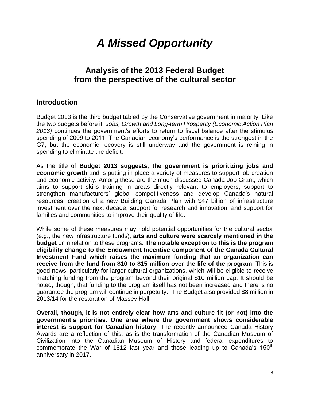# *A Missed Opportunity*

# **Analysis of the 2013 Federal Budget from the perspective of the cultural sector**

### **Introduction**

Budget 2013 is the third budget tabled by the Conservative government in majority. Like the two budgets before it, *Jobs, Growth and Long-term Prosperity (Economic Action Plan 2013)* continues the government's efforts to return to fiscal balance after the stimulus spending of 2009 to 2011. The Canadian economy's performance is the strongest in the G7, but the economic recovery is still underway and the government is reining in spending to eliminate the deficit.

As the title of **Budget 2013 suggests, the government is prioritizing jobs and economic growth** and is putting in place a variety of measures to support job creation and economic activity. Among these are the much discussed Canada Job Grant, which aims to support skills training in areas directly relevant to employers, support to strengthen manufacturers' global competitiveness and develop Canada's natural resources, creation of a new Building Canada Plan with \$47 billion of infrastructure investment over the next decade, support for research and innovation, and support for families and communities to improve their quality of life.

While some of these measures may hold potential opportunities for the cultural sector (e.g., the new infrastructure funds), **arts and culture were scarcely mentioned in the budget** or in relation to these programs. **The notable exception to this is the program eligibility change to the Endowment Incentive component of the Canada Cultural Investment Fund which raises the maximum funding that an organization can receive from the fund from \$10 to \$15 million over the life of the program**. This is good news, particularly for larger cultural organizations, which will be eligible to receive matching funding from the program beyond their original \$10 million cap. It should be noted, though, that funding to the program itself has not been increased and there is no guarantee the program will continue in perpetuity.. The Budget also provided \$8 million in 2013/14 for the restoration of Massey Hall.

**Overall, though, it is not entirely clear how arts and culture fit (or not) into the government's priorities. One area where the government shows considerable interest is support for Canadian history**. The recently announced Canada History Awards are a reflection of this, as is the transformation of the Canadian Museum of Civilization into the Canadian Museum of History and federal expenditures to commemorate the War of 1812 last year and those leading up to Canada's  $150<sup>th</sup>$ anniversary in 2017.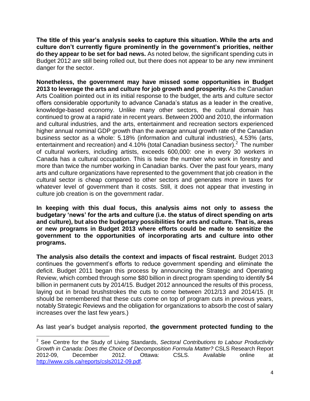**The title of this year's analysis seeks to capture this situation. While the arts and culture don't currently figure prominently in the government's priorities, neither do they appear to be set for bad news.** As noted below, the significant spending cuts in Budget 2012 are still being rolled out, but there does not appear to be any new imminent danger for the sector.

**Nonetheless, the government may have missed some opportunities in Budget 2013 to leverage the arts and culture for job growth and prosperity.** As the Canadian Arts Coalition pointed out in its initial response to the budget, the arts and culture sector offers considerable opportunity to advance Canada's status as a leader in the creative, knowledge-based economy. Unlike many other sectors, the cultural domain has continued to grow at a rapid rate in recent years. Between 2000 and 2010, the information and cultural industries, and the arts, entertainment and recreation sectors experienced higher annual nominal GDP growth than the average annual growth rate of the Canadian business sector as a whole: 5.18% (information and cultural industries), 4.53% (arts, entertainment and recreation) and 4.10% (total Canadian business sector).<sup>2</sup> The number of cultural workers, including artists, exceeds 600,000: one in every 30 workers in Canada has a cultural occupation. This is twice the number who work in forestry and more than twice the number working in Canadian banks. Over the past four years, many arts and culture organizations have represented to the government that job creation in the cultural sector is cheap compared to other sectors and generates more in taxes for whatever level of government than it costs. Still, it does not appear that investing in culture job creation is on the government radar.

**In keeping with this dual focus, this analysis aims not only to assess the budgetary 'news' for the arts and culture (i.e. the status of direct spending on arts and culture), but also the budgetary possibilities for arts and culture. That is, areas or new programs in Budget 2013 where efforts could be made to sensitize the government to the opportunities of incorporating arts and culture into other programs.** 

**The analysis also details the context and impacts of fiscal restraint.** Budget 2013 continues the government's efforts to reduce government spending and eliminate the deficit. Budget 2011 began this process by announcing the Strategic and Operating Review, which combed through some \$80 billion in direct program spending to identify \$4 billion in permanent cuts by 2014/15. Budget 2012 announced the results of this process, laying out in broad brushstrokes the cuts to come between 2012/13 and 2014/15. (It should be remembered that these cuts come on top of program cuts in previous years, notably Strategic Reviews and the obligation for organizations to absorb the cost of salary increases over the last few years.)

As last year's budget analysis reported, **the government protected funding to the** 

<sup>-</sup><sup>2</sup> See Centre for the Study of Living Standards, *Sectoral Contributions to Labour Productivity Growth in Canada: Does the Choice of Decomposition Formula Matter?* CSLS Research Report 2012-09, December 2012. Ottawa: CSLS. Available online at [http://www.csls.ca/reports/csls2012-09.pdf.](http://www.csls.ca/reports/csls2012-09.pdf)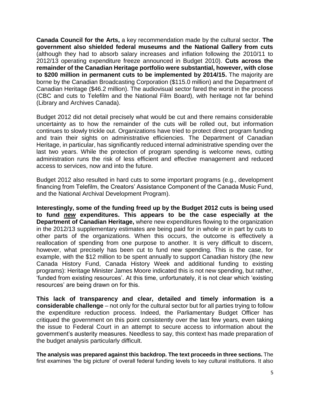**Canada Council for the Arts,** a key recommendation made by the cultural sector. **The government also shielded federal museums and the National Gallery from cuts** (although they had to absorb salary increases and inflation following the 2010/11 to 2012/13 operating expenditure freeze announced in Budget 2010). **Cuts across the remainder of the Canadian Heritage portfolio were substantial, however, with close to \$200 million in permanent cuts to be implemented by 2014/15.** The majority are borne by the Canadian Broadcasting Corporation (\$115.0 million) and the Department of Canadian Heritage (\$46.2 million). The audiovisual sector fared the worst in the process (CBC and cuts to Telefilm and the National Film Board), with heritage not far behind (Library and Archives Canada).

Budget 2012 did not detail precisely what would be cut and there remains considerable uncertainty as to how the remainder of the cuts will be rolled out, but information continues to slowly trickle out. Organizations have tried to protect direct program funding and train their sights on administrative efficiencies. The Department of Canadian Heritage, in particular, has significantly reduced internal administrative spending over the last two years. While the protection of program spending is welcome news, cutting administration runs the risk of less efficient and effective management and reduced access to services, now and into the future.

Budget 2012 also resulted in hard cuts to some important programs (e.g., development financing from Telefilm, the Creators' Assistance Component of the Canada Music Fund, and the National Archival Development Program).

**Interestingly, some of the funding freed up by the Budget 2012 cuts is being used to fund** *new* **expenditures. This appears to be the case especially at the Department of Canadian Heritage,** where new expenditures flowing to the organization in the 2012/13 supplementary estimates are being paid for in whole or in part by cuts to other parts of the organizations. When this occurs, the outcome is effectively a reallocation of spending from one purpose to another. It is very difficult to discern, however, what precisely has been cut to fund new spending. This is the case, for example, with the \$12 million to be spent annually to support Canadian history (the new Canada History Fund, Canada History Week and additional funding to existing programs): Heritage Minister James Moore indicated this is not new spending, but rather, 'funded from existing resources'. At this time, unfortunately, it is not clear which 'existing resources' are being drawn on for this.

**This lack of transparency and clear, detailed and timely information is a considerable challenge** – not only for the cultural sector but for all parties trying to follow the expenditure reduction process. Indeed, the Parliamentary Budget Officer has critiqued the government on this point consistently over the last few years, even taking the issue to Federal Court in an attempt to secure access to information about the government's austerity measures. Needless to say, this context has made preparation of the budget analysis particularly difficult.

**The analysis was prepared against this backdrop. The text proceeds in three sections.** The first examines 'the big picture' of overall federal funding levels to key cultural institutions. It also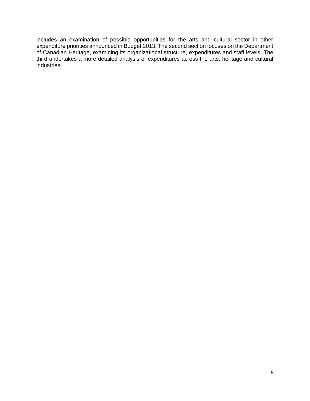includes an examination of possible opportunities for the arts and cultural sector in other expenditure priorities announced in Budget 2013. The second section focuses on the Department of Canadian Heritage, examining its organizational structure, expenditures and staff levels. The third undertakes a more detailed analysis of expenditures across the arts, heritage and cultural industries.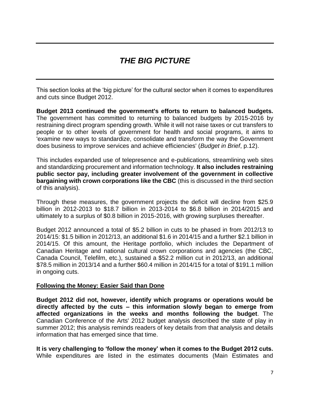# *THE BIG PICTURE*

This section looks at the 'big picture' for the cultural sector when it comes to expenditures and cuts since Budget 2012.

**Budget 2013 continued the government's efforts to return to balanced budgets.**  The government has committed to returning to balanced budgets by 2015-2016 by restraining direct program spending growth. While it will not raise taxes or cut transfers to people or to other levels of government for health and social programs, it aims to 'examine new ways to standardize, consolidate and transform the way the Government does business to improve services and achieve efficiencies' (*Budget in Brief*, p.12).

This includes expanded use of telepresence and e-publications, streamlining web sites and standardizing procurement and information technology. **It also includes restraining public sector pay, including greater involvement of the government in collective bargaining with crown corporations like the CBC** (this is discussed in the third section of this analysis).

Through these measures, the government projects the deficit will decline from \$25.9 billion in 2012-2013 to \$18.7 billion in 2013-2014 to \$6.8 billion in 2014/2015 and ultimately to a surplus of \$0.8 billion in 2015-2016, with growing surpluses thereafter.

Budget 2012 announced a total of \$5.2 billion in cuts to be phased in from 2012/13 to 2014/15: \$1.5 billion in 2012/13, an additional \$1.6 in 2014/15 and a further \$2.1 billion in 2014/15. Of this amount, the Heritage portfolio, which includes the Department of Canadian Heritage and national cultural crown corporations and agencies (the CBC, Canada Council, Telefilm, etc.), sustained a \$52.2 million cut in 2012/13, an additional \$78.5 million in 2013/14 and a further \$60.4 million in 2014/15 for a total of \$191.1 million in ongoing cuts.

#### **Following the Money: Easier Said than Done**

**Budget 2012 did not, however, identify which programs or operations would be directly affected by the cuts – this information slowly began to emerge from affected organizations in the weeks and months following the budget**. The Canadian Conference of the Arts' 2012 budget analysis described the state of play in summer 2012; this analysis reminds readers of key details from that analysis and details information that has emerged since that time.

**It is very challenging to 'follow the money' when it comes to the Budget 2012 cuts.** While expenditures are listed in the estimates documents (Main Estimates and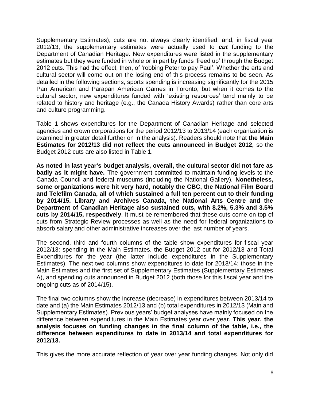Supplementary Estimates), cuts are not always clearly identified, and, in fiscal year 2012/13, the supplementary estimates were actually used to *cut* funding to the Department of Canadian Heritage. New expenditures were listed in the supplementary estimates but they were funded in whole or in part by funds 'freed up' through the Budget 2012 cuts. This had the effect, then, of 'robbing Peter to pay Paul'. Whether the arts and cultural sector will come out on the losing end of this process remains to be seen. As detailed in the following sections, sports spending is increasing significantly for the 2015 Pan American and Parapan American Games in Toronto, but when it comes to the cultural sector, new expenditures funded with 'existing resources' tend mainly to be related to history and heritage (e.g., the Canada History Awards) rather than core arts and culture programming.

Table 1 shows expenditures for the Department of Canadian Heritage and selected agencies and crown corporations for the period 2012/13 to 2013/14 (each organization is examined in greater detail further on in the analysis). Readers should note that **the Main Estimates for 2012/13 did not reflect the cuts announced in Budget 2012,** so the Budget 2012 cuts are also listed in Table 1.

**As noted in last year's budget analysis, overall, the cultural sector did not fare as badly as it might have.** The government committed to maintain funding levels to the Canada Council and federal museums (including the National Gallery). **Nonetheless, some organizations were hit very hard, notably the CBC, the National Film Board and Telefilm Canada, all of which sustained a full ten percent cut to their funding by 2014/15. Library and Archives Canada, the National Arts Centre and the Department of Canadian Heritage also sustained cuts, with 8.2%, 5.3% and 3.5% cuts by 2014/15, respectively**. It must be remembered that these cuts come on top of cuts from Strategic Review processes as well as the need for federal organizations to absorb salary and other administrative increases over the last number of years.

The second, third and fourth columns of the table show expenditures for fiscal year 2012/13: spending in the Main Estimates, the Budget 2012 cut for 2012/13 and Total Expenditures for the year (the latter include expenditures in the Supplementary Estimates). The next two columns show expenditures to date for 2013/14: those in the Main Estimates and the first set of Supplementary Estimates (Supplementary Estimates A), and spending cuts announced in Budget 2012 (both those for this fiscal year and the ongoing cuts as of 2014/15).

The final two columns show the increase (decrease) in expenditures between 2013/14 to date and (a) the Main Estimates 2012/13 and (b) total expenditures in 2012/13 (Main and Supplementary Estimates). Previous years' budget analyses have mainly focused on the difference between expenditures in the Main Estimates year over year. **This year, the analysis focuses on funding changes in the final column of the table, i.e., the difference between expenditures to date in 2013/14 and total expenditures for 2012/13.** 

This gives the more accurate reflection of year over year funding changes. Not only did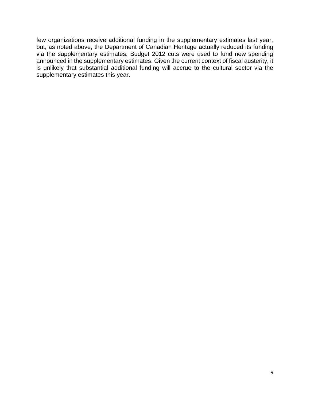few organizations receive additional funding in the supplementary estimates last year, but, as noted above, the Department of Canadian Heritage actually reduced its funding via the supplementary estimates: Budget 2012 cuts were used to fund new spending announced in the supplementary estimates. Given the current context of fiscal austerity, it is unlikely that substantial additional funding will accrue to the cultural sector via the supplementary estimates this year.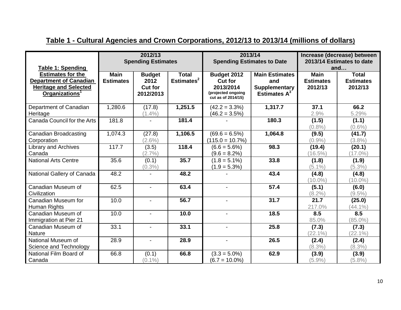| Table 1: Spending                                                                                                       |                                 | 2012/13<br><b>Spending Estimates</b>                 |                               | 2013/14<br><b>Spending Estimates to Date</b>                                           |                                                                         | Increase (decrease) between<br>2013/14 Estimates to date<br>and |                                             |  |
|-------------------------------------------------------------------------------------------------------------------------|---------------------------------|------------------------------------------------------|-------------------------------|----------------------------------------------------------------------------------------|-------------------------------------------------------------------------|-----------------------------------------------------------------|---------------------------------------------|--|
| <b>Estimates for the</b><br><b>Department of Canadian</b><br><b>Heritage and Selected</b><br>Organizations <sup>1</sup> | <b>Main</b><br><b>Estimates</b> | <b>Budget</b><br>2012<br><b>Cut for</b><br>2012/2013 | <b>Total</b><br>Estimates $2$ | Budget 2012<br><b>Cut for</b><br>2013/2014<br>(projected ongoing<br>cut as of 2014/15) | <b>Main Estimates</b><br>and<br><b>Supplementary</b><br>Estimates $A^3$ | <b>Main</b><br><b>Estimates</b><br>2012/13                      | <b>Total</b><br><b>Estimates</b><br>2012/13 |  |
| Department of Canadian<br>Heritage                                                                                      | 1,280.6                         | (17.8)<br>$(1.4\%)$                                  | 1,251.5                       | $(42.2 = 3.3\%)$<br>$(46.2 = 3.5\%)$                                                   | 1,317.7                                                                 | 37.1<br>2.9%                                                    | 66.2<br>5.29%                               |  |
| Canada Council for the Arts                                                                                             | 181.8                           |                                                      | 181.4                         |                                                                                        | 180.3                                                                   | (1.5)<br>(0.8%                                                  | (1.1)<br>$(0.6\%)$                          |  |
| Canadian Broadcasting<br>Corporation                                                                                    | 1,074.3                         | (27.8)<br>$(2.6\%)$                                  | 1,106.5                       | $(69.6 = 6.5\%)$<br>$(115.0 = 10.7\%)$                                                 | 1,064.8                                                                 | (9.5)<br>$(0.9\%)$                                              | (41.7)<br>$(3.8\%)$                         |  |
| Library and Archives<br>Canada                                                                                          | 117.7                           | (3.5)<br>(2.7%                                       | 118.4                         | $(6.6 = 5.6\%)$<br>$(9.6 = 8.2\%)$                                                     | 98.3                                                                    | (19.4)<br>$(16.5\%)$                                            | (20.1)<br>$(17.0\%)$                        |  |
| <b>National Arts Centre</b>                                                                                             | 35.6                            | (0.1)<br>$(0.3\%)$                                   | 35.7                          | $(1.8 = 5.1\%)$<br>$(1.9 = 5.3\%)$                                                     | 33.8                                                                    | (1.8)<br>$(5.1\%)$                                              | (1.9)<br>$(5.3\%)$                          |  |
| National Gallery of Canada                                                                                              | $\overline{48.2}$               |                                                      | 48.2                          |                                                                                        | 43.4                                                                    | (4.8)<br>$(10.0\%)$                                             | (4.8)<br>$(10.0\%)$                         |  |
| Canadian Museum of<br>Civilization                                                                                      | 62.5                            |                                                      | 63.4                          |                                                                                        | 57.4                                                                    | (5.1)<br>$(8.2\%)$                                              | (6.0)<br>$(9.5\%)$                          |  |
| Canadian Museum for<br>Human Rights                                                                                     | 10.0                            | $\blacksquare$                                       | 56.7                          |                                                                                        | 31.7                                                                    | 21.7<br>217.0%                                                  | (25.0)<br>$(44.1\%)$                        |  |
| Canadian Museum of<br>Immigration at Pier 21                                                                            | 10.0                            | $\blacksquare$                                       | 10.0                          | $\blacksquare$                                                                         | 18.5                                                                    | 8.5<br>85.0%                                                    | 8.5<br>$(85.0\%)$                           |  |
| Canadian Museum of<br><b>Nature</b>                                                                                     | 33.1                            |                                                      | 33.1                          |                                                                                        | 25.8                                                                    | (7.3)<br>$(22.1\%)$                                             | (7.3)<br>$(22.1\%)$                         |  |
| National Museum of<br>Science and Technology                                                                            | 28.9                            | $\overline{a}$                                       | 28.9                          |                                                                                        | 26.5                                                                    | (2.4)<br>(8.3%)                                                 | (2.4)<br>(8.3%)                             |  |
| National Film Board of<br>Canada                                                                                        | 66.8                            | (0.1)<br>$(0.1\%)$                                   | 66.8                          | $(3.3 = 5.0\%)$<br>$(6.7 = 10.0\%)$                                                    | 62.9                                                                    | (3.9)<br>(5.9%                                                  | (3.9)<br>$(5.8\%)$                          |  |

# **Table 1 - Cultural Agencies and Crown Corporations, 2012/13 to 2013/14 (millions of dollars)**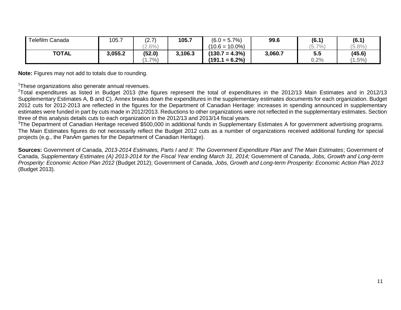| Telefilm Canada | 105.7   | (2.7)     | 105.7   | $(6.0 = 5.7\%)$   | 99.6    | (6.1) | (6.1)     |
|-----------------|---------|-----------|---------|-------------------|---------|-------|-----------|
|                 |         | $(2.6\%)$ |         | $(10.6 = 10.0\%)$ |         | (5.7% | (5.8%     |
| <b>TOTAL</b>    | 3,055.2 | (52.0)    | 3,106.3 | $(130.7 = 4.3\%)$ | 3,060.7 | 5.5   | (45.6)    |
|                 |         | (.7%)     |         | $(191.1 = 6.2\%)$ |         | 0.2%  | $(1.5\%)$ |

**Note:** Figures may not add to totals due to rounding.

<sup>1</sup>These organizations also generate annual revenues.

 $2$ Total expenditures as listed in Budget 2013 (the figures represent the total of expenditures in the 2012/13 Main Estimates and in 2012/13 Supplementary Estimates A, B and C). Annex breaks down the expenditures in the supplementary estimates documents for each organization. Budget 2012 cuts for 2012-2013 are reflected in the figures for the Department of Canadian Heritage: increases in spending announced in supplementary estimates were funded in part by cuts made in 2012/2013. Reductions to other organizations were not reflected in the supplementary estimates. Section three of this analysis details cuts to each organization in the 2012/13 and 2013/14 fiscal years.

<sup>3</sup>The Department of Canadian Heritage received \$500,000 in additional funds in Supplementary Estimates A for government advertising programs. The Main Estimates figures do not necessarily reflect the Budget 2012 cuts as a number of organizations received additional funding for special projects (e.g., the PanAm games for the Department of Canadian Heritage).

**Sources:** Government of Canada, *2013-2014 Estimates, Parts I and II: The Government Expenditure Plan and The Main Estimates*; Government of Canada, *Supplementary Estimates (A) 2013-2014 for the Fiscal Year ending March 31, 2014;* Government of Canada, *Jobs, Growth and Long-term Prosperity: Economic Action Plan 2012* (Budget 2012); Government of Canada, *Jobs, Growth and Long-term Prosperity: Economic Action Plan 2013* (Budget 2013).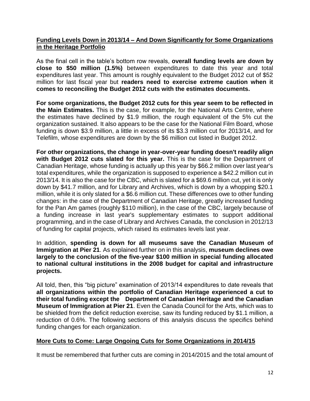#### **Funding Levels Down in 2013/14 – And Down Significantly for Some Organizations in the Heritage Portfolio**

As the final cell in the table's bottom row reveals, **overall funding levels are down by close to \$50 million (1.5%)** between expenditures to date this year and total expenditures last year. This amount is roughly equivalent to the Budget 2012 cut of \$52 million for last fiscal year but **readers need to exercise extreme caution when it comes to reconciling the Budget 2012 cuts with the estimates documents.** 

**For some organizations, the Budget 2012 cuts for this year seem to be reflected in the Main Estimates.** This is the case, for example, for the National Arts Centre, where the estimates have declined by \$1.9 million, the rough equivalent of the 5% cut the organization sustained. It also appears to be the case for the National Film Board, whose funding is down \$3.9 million, a little in excess of its \$3.3 million cut for 2013/14, and for Telefilm, whose expenditures are down by the \$6 million cut listed in Budget 2012.

**For other organizations, the change in year-over-year funding doesn't readily align with Budget 2012 cuts slated for this year.** This is the case for the Department of Canadian Heritage, whose funding is actually up this year by \$66.2 million over last year's total expenditures, while the organization is supposed to experience a \$42.2 million cut in 2013/14. It is also the case for the CBC, which is slated for a \$69.6 million cut, yet it is only down by \$41.7 million, and for Library and Archives, which is down by a whopping \$20.1 million, while it is only slated for a \$6.6 million cut. These differences owe to other funding changes: in the case of the Department of Canadian Heritage, greatly increased funding for the Pan Am games (roughly \$110 million), in the case of the CBC, largely because of a funding increase in last year's supplementary estimates to support additional programming, and in the case of Library and Archives Canada, the conclusion in 2012/13 of funding for capital projects, which raised its estimates levels last year.

In addition, **spending is down for all museums save the Canadian Museum of Immigration at Pier 21**. As explained further on in this analysis, **museum declines owe largely to the conclusion of the five-year \$100 million in special funding allocated to national cultural institutions in the 2008 budget for capital and infrastructure projects.** 

All told, then, this "big picture" examination of 2013/14 expenditures to date reveals that **all organizations within the portfolio of Canadian Heritage experienced a cut to their total funding except the Department of Canadian Heritage and the Canadian Museum of Immigration at Pier 21**. Even the Canada Council for the Arts, which was to be shielded from the deficit reduction exercise, saw its funding reduced by \$1.1 million, a reduction of 0.6%. The following sections of this analysis discuss the specifics behind funding changes for each organization.

#### **More Cuts to Come: Large Ongoing Cuts for Some Organizations in 2014/15**

It must be remembered that further cuts are coming in 2014/2015 and the total amount of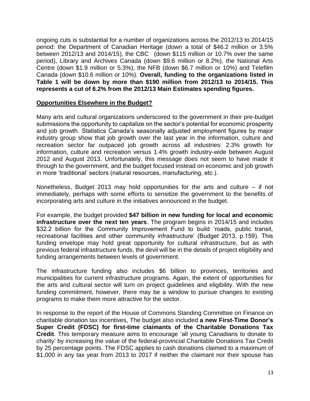ongoing cuts is substantial for a number of organizations across the 2012/13 to 2014/15 period: the Department of Canadian Heritage (down a total of \$46.2 million or 3.5% between 2012/13 and 2014/15), the CBC (down \$115 million or 10.7% over the same period), Library and Archives Canada (down \$9.6 million or 8.2%), the National Arts Centre (down \$1.9 million or 5.3%), the NFB (down \$6.7 million or 10%) and Telefilm Canada (down \$10.6 million or 10%). **Overall, funding to the organizations listed in Table 1 will be down by more than \$190 million from 2012/13 to 2014/15. This represents a cut of 6.2% from the 2012/13 Main Estimates spending figures.**

#### **Opportunities Elsewhere in the Budget?**

Many arts and cultural organizations underscored to the government in their pre-budget submissions the opportunity to capitalize on the sector's potential for economic prosperity and job growth. Statistics Canada's seasonally adjusted employment figures by major industry group show that job growth over the last year in the information, culture and recreation sector far outpaced job growth across all industries: 2.3% growth for information, culture and recreation versus 1.4% growth industry-wide between August 2012 and August 2013. Unfortunately, this message does not seem to have made it through to the government, and the budget focused instead on economic and job growth in more 'traditional' sectors (natural resources, manufacturing, etc.).

Nonetheless, Budget 2013 may hold opportunities for the arts and culture – if not immediately, perhaps with some efforts to sensitize the government to the benefits of incorporating arts and culture in the initiatives announced in the budget.

For example, the budget provided **\$47 billion in new funding for local and economic infrastructure over the next ten years**. The program begins in 2014/15 and includes \$32.2 billion for the Community Improvement Fund to build 'roads, public transit, recreational facilities and other community infrastructure' (Budget 2013, p.159). This funding envelope may hold great opportunity for cultural infrastructure, but as with previous federal infrastructure funds, the devil will be in the details of project eligibility and funding arrangements between levels of government.

The infrastructure funding also includes \$6 billion to provinces, territories and municipalities for current infrastructure programs. Again, the extent of opportunities for the arts and cultural sector will turn on project guidelines and eligibility. With the new funding commitment, however, there may be a window to pursue changes to existing programs to make them more attractive for the sector.

In response to the report of the House of Commons Standing Committee on Finance on charitable donation tax incentives, The budget also included **a new First-Time Donor's Super Credit (FDSC) for first-time claimants of the Charitable Donations Tax Credit**. This temporary measure aims to encourage 'all young Canadians to donate to charity' by increasing the value of the federal-provincial Charitable Donations Tax Credit by 25 percentage points. The FDSC applies to cash donations claimed to a maximum of \$1,000 in any tax year from 2013 to 2017 if neither the claimant nor their spouse has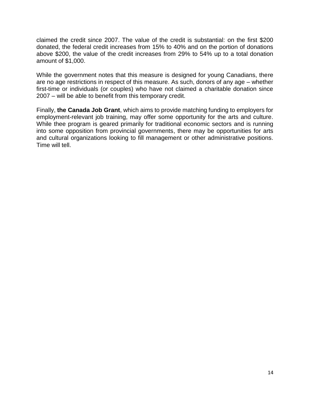claimed the credit since 2007. The value of the credit is substantial: on the first \$200 donated, the federal credit increases from 15% to 40% and on the portion of donations above \$200, the value of the credit increases from 29% to 54% up to a total donation amount of \$1,000.

While the government notes that this measure is designed for young Canadians, there are no age restrictions in respect of this measure. As such, donors of any age – whether first-time or individuals (or couples) who have not claimed a charitable donation since 2007 – will be able to benefit from this temporary credit.

Finally, **the Canada Job Grant**, which aims to provide matching funding to employers for employment-relevant job training, may offer some opportunity for the arts and culture. While thee program is geared primarily for traditional economic sectors and is running into some opposition from provincial governments, there may be opportunities for arts and cultural organizations looking to fill management or other administrative positions. Time will tell.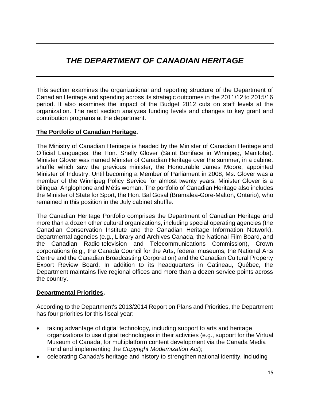# *THE DEPARTMENT OF CANADIAN HERITAGE*

This section examines the organizational and reporting structure of the Department of Canadian Heritage and spending across its strategic outcomes in the 2011/12 to 2015/16 period. It also examines the impact of the Budget 2012 cuts on staff levels at the organization. The next section analyzes funding levels and changes to key grant and contribution programs at the department.

#### **The Portfolio of Canadian Heritage.**

The Ministry of Canadian Heritage is headed by the Minister of Canadian Heritage and Official Languages, the Hon. Shelly Glover (Saint Boniface in Winnipeg, Manitoba). Minister Glover was named Minister of Canadian Heritage over the summer, in a cabinet shuffle which saw the previous minister, the Honourable James Moore, appointed Minister of Industry. Until becoming a Member of Parliament in 2008, Ms. Glover was a member of the Winnipeg Policy Service for almost twenty years. Minister Glover is a bilingual Anglophone and Métis woman. The portfolio of Canadian Heritage also includes the Minister of State for Sport, the Hon. Bal Gosal (Bramalea-Gore-Malton, Ontario), who remained in this position in the July cabinet shuffle.

The Canadian Heritage Portfolio comprises the Department of Canadian Heritage and more than a dozen other cultural organizations, including special operating agencies (the Canadian Conservation Institute and the Canadian Heritage Information Network), departmental agencies (e.g., Library and Archives Canada, the National Film Board, and the Canadian Radio-television and Telecommunications Commission), Crown corporations (e.g., the Canada Council for the Arts, federal museums, the National Arts Centre and the Canadian Broadcasting Corporation) and the Canadian Cultural Property Export Review Board. In addition to its headquarters in Gatineau, Québec, the Department maintains five regional offices and more than a dozen service points across the country.

#### **Departmental Priorities.**

According to the Department's 2013/2014 Report on Plans and Priorities, the Department has four priorities for this fiscal year:

- taking advantage of digital technology, including support to arts and heritage organizations to use digital technologies in their activities (e.g., support for the Virtual Museum of Canada, for multiplatform content development via the Canada Media Fund and implementing the *Copyright Modernization Act*);
- celebrating Canada's heritage and history to strengthen national identity, including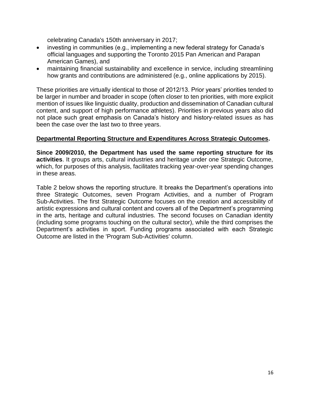celebrating Canada's 150th anniversary in 2017;

- investing in communities (e.g., implementing a new federal strategy for Canada's official languages and supporting the Toronto 2015 Pan American and Parapan American Games), and
- maintaining financial sustainability and excellence in service, including streamlining how grants and contributions are administered (e.g., online applications by 2015).

These priorities are virtually identical to those of 2012/13. Prior years' priorities tended to be larger in number and broader in scope (often closer to ten priorities, with more explicit mention of issues like linguistic duality, production and dissemination of Canadian cultural content, and support of high performance athletes). Priorities in previous years also did not place such great emphasis on Canada's history and history-related issues as has been the case over the last two to three years.

#### **Departmental Reporting Structure and Expenditures Across Strategic Outcomes.**

**Since 2009/2010, the Department has used the same reporting structure for its activities**. It groups arts, cultural industries and heritage under one Strategic Outcome, which, for purposes of this analysis, facilitates tracking year-over-year spending changes in these areas.

Table 2 below shows the reporting structure. It breaks the Department's operations into three Strategic Outcomes, seven Program Activities, and a number of Program Sub-Activities. The first Strategic Outcome focuses on the creation and accessibility of artistic expressions and cultural content and covers all of the Department's programming in the arts, heritage and cultural industries. The second focuses on Canadian identity (including some programs touching on the cultural sector), while the third comprises the Department's activities in sport. Funding programs associated with each Strategic Outcome are listed in the 'Program Sub-Activities' column.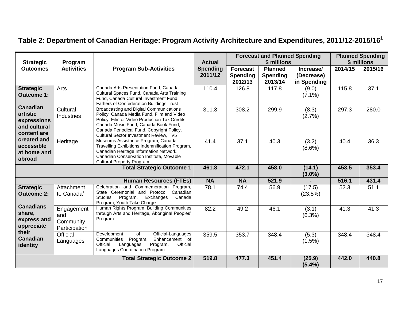| Table 2: Department of Canadian Heritage: Program Activity Architecture and Expenditures, 2011/12-2015/16 $^{\rm 1}$ |
|----------------------------------------------------------------------------------------------------------------------|
|----------------------------------------------------------------------------------------------------------------------|

| <b>Strategic</b>                                                          | Program                                         |                                                                                                                                                                                                                                                                             | <b>Actual</b>              |                                               | <b>Forecast and Planned Spending</b><br>\$ millions |                                        |         | <b>Planned Spending</b><br>\$ millions |
|---------------------------------------------------------------------------|-------------------------------------------------|-----------------------------------------------------------------------------------------------------------------------------------------------------------------------------------------------------------------------------------------------------------------------------|----------------------------|-----------------------------------------------|-----------------------------------------------------|----------------------------------------|---------|----------------------------------------|
| <b>Outcomes</b>                                                           | <b>Activities</b>                               | <b>Program Sub-Activities</b>                                                                                                                                                                                                                                               | <b>Spending</b><br>2011/12 | <b>Forecast</b><br><b>Spending</b><br>2012/13 | <b>Planned</b><br><b>Spending</b><br>2013/14        | Increase/<br>(Decrease)<br>in Spending | 2014/15 | 2015/16                                |
| <b>Strategic</b><br><b>Outcome 1:</b>                                     | Arts                                            | Canada Arts Presentation Fund, Canada<br>Cultural Spaces Fund, Canada Arts Training<br>Fund, Canada Cultural Investment Fund,<br>Fathers of Confederation Buildings Trust                                                                                                   | 110.4                      | 126.8                                         | 117.8                                               | (9.0)<br>$(7.1\%)$                     | 115.8   | 37.1                                   |
| <b>Canadian</b><br>artistic<br>expressions<br>and cultural<br>content are | Cultural<br><b>Industries</b>                   | <b>Broadcasting and Digital Communications</b><br>Policy, Canada Media Fund, Film and Video<br>Policy, Film or Video Production Tax Credits,<br>Canada Music Fund, Canada Book Fund,<br>Canada Periodical Fund, Copyright Policy,<br>Cultural Sector Investment Review, TV5 | 311.3                      | 308.2                                         | 299.9                                               | (8.3)<br>(2.7%)                        | 297.3   | 280.0                                  |
| created and<br>accessible<br>at home and<br>abroad                        | Heritage                                        | Museums Assistance Program, Canada<br>Travelling Exhibitions Indemnification Program,<br>Canadian Heritage Information Network,<br>Canadian Conservation Institute, Movable<br><b>Cultural Property Program</b><br><b>Total Strategic Outcome 1</b>                         | 41.4                       | 37.1                                          | 40.3                                                | (3.2)<br>$(8.6\%)$                     | 40.4    | 36.3                                   |
|                                                                           | 461.8                                           | 472.1                                                                                                                                                                                                                                                                       | 458.0                      | (14.1)<br>$(3.0\%)$                           | 453.5                                               | 353.4                                  |         |                                        |
|                                                                           |                                                 | <b>Human Resources (FTEs)</b>                                                                                                                                                                                                                                               | <b>NA</b>                  | <b>NA</b>                                     | 521.9                                               |                                        | 516.1   | 431.4                                  |
| <b>Strategic</b><br><b>Outcome 2:</b>                                     | Attachment<br>to Canada <sup>1</sup>            | Celebration and Commemoration Program,<br>State Ceremonial and Protocol, Canadian<br><b>Studies</b><br>Program,<br>Exchanges<br>Canada<br>Program, Youth Take Charge                                                                                                        | 78.1                       | 74.4                                          | 56.9                                                | (17.5)<br>(23.5%)                      | 52.3    | 51.1                                   |
| <b>Canadians</b><br>share,<br>express and<br>appreciate                   | Engagement<br>and<br>Community<br>Participation | Human Rights Program, Building Communities<br>through Arts and Heritage, Aboriginal Peoples'<br>Program                                                                                                                                                                     | 82.2                       | 49.2                                          | 46.1                                                | (3.1)<br>$(6.3\%)$                     | 41.3    | 41.3                                   |
| their<br><b>Canadian</b><br>identity                                      | <b>Official</b><br>Languages                    | $\overline{of}$<br>Official-Languages<br>Development<br>Program,<br>Enhancement of<br>Communities<br>Official<br>Official<br>Languages<br>Program,<br>Languages Coordination Program                                                                                        | 359.5                      | 353.7                                         | 348.4                                               | (5.3)<br>$(1.5\%)$                     | 348.4   | 348.4                                  |
|                                                                           |                                                 | <b>Total Strategic Outcome 2</b>                                                                                                                                                                                                                                            | 519.8                      | 477.3                                         | 451.4                                               | (25.9)<br>(5.4%)                       | 442.0   | 440.8                                  |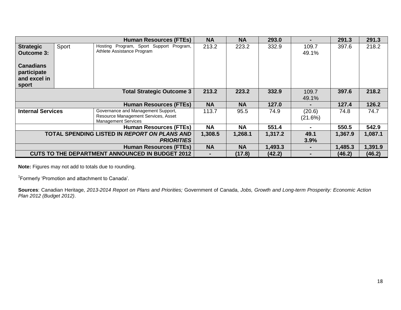|                                                                   |                               | <b>Human Resources (FTEs)</b>                                                                           | <b>NA</b> | <b>NA</b> | 293.0   | ۰.                | 291.3   | 291.3   |
|-------------------------------------------------------------------|-------------------------------|---------------------------------------------------------------------------------------------------------|-----------|-----------|---------|-------------------|---------|---------|
| <b>Strategic</b><br>Outcome 3:                                    | Sport                         | Hosting Program, Sport Support Program,<br>Athlete Assistance Program                                   | 213.2     | 223.2     | 332.9   | 109.7<br>49.1%    | 397.6   | 218.2   |
| <b>Canadians</b><br>participate<br>and excel in<br>sport          |                               |                                                                                                         |           |           |         |                   |         |         |
|                                                                   |                               | <b>Total Strategic Outcome 3</b>                                                                        | 213.2     | 223.2     | 332.9   | 109.7<br>49.1%    | 397.6   | 218.2   |
|                                                                   |                               | <b>Human Resources (FTEs)</b>                                                                           | <b>NA</b> | <b>NA</b> | 127.0   | $\blacksquare$    | 127.4   | 126.2   |
| <b>Internal Services</b>                                          |                               | Governance and Management Support,<br>Resource Management Services, Asset<br><b>Management Services</b> | 113.7     | 95.5      | 74.9    | (20.6)<br>(21.6%) | 74.8    | 74.7    |
|                                                                   |                               | <b>Human Resources (FTEs)</b>                                                                           | <b>NA</b> | <b>NA</b> | 551.4   |                   | 550.5   | 542.9   |
| TOTAL SPENDING LISTED IN REPORT ON PLANS AND<br><b>PRIORITIES</b> |                               |                                                                                                         | 1,308.5   | 1,268.1   | 1,317.2 | 49.1<br>3.9%      | 1,367.9 | 1,087.1 |
|                                                                   | <b>Human Resources (FTEs)</b> |                                                                                                         |           |           | 1,493.3 | $\blacksquare$    | 1,485.3 | 1,391.9 |
|                                                                   |                               | <b>CUTS TO THE DEPARTMENT ANNOUNCED IN BUDGET 2012</b>                                                  |           | (17.8)    | (42.2)  |                   | (46.2)  | (46.2)  |

**Note:** Figures may not add to totals due to rounding.

<sup>1</sup> Formerly 'Promotion and attachment to Canada'.

**Sources**: Canadian Heritage, *2013-2014 Report on Plans and Priorities;* Government of Canada, *Jobs, Growth and Long-term Prosperity: Economic Action Plan 2012 (Budget 2012)*.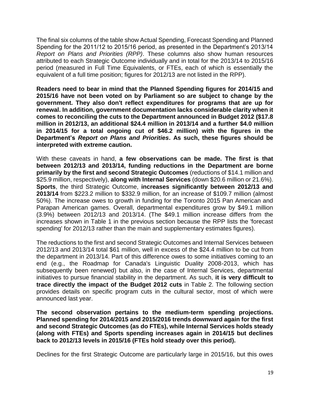The final six columns of the table show Actual Spending, Forecast Spending and Planned Spending for the 2011/12 to 2015/16 period, as presented in the Department's 2013/14 *Report on Plans and Priorities (RPP)*. These columns also show human resources attributed to each Strategic Outcome individually and in total for the 2013/14 to 2015/16 period (measured in Full Time Equivalents, or FTEs, each of which is essentially the equivalent of a full time position; figures for 2012/13 are not listed in the RPP).

**Readers need to bear in mind that the Planned Spending figures for 2014/15 and 2015/16 have not been voted on by Parliament so are subject to change by the government. They also don't reflect expenditures for programs that are up for renewal. In addition, government documentation lacks considerable clarity when it comes to reconciling the cuts to the Department announced in Budget 2012 (\$17.8 million in 2012/13, an additional \$24.4 million in 2013/14 and a further \$4.0 million in 2014/15 for a total ongoing cut of \$46.2 million) with the figures in the Department's** *Report on Plans and Priorities***. As such, these figures should be interpreted with extreme caution.**

With these caveats in hand, **a few observations can be made. The first is that between 2012/13 and 2013/14, funding reductions in the Department are borne primarily by the first and second Strategic Outcomes** (reductions of \$14.1 million and \$25.9 million, respectively), **along with Internal Services** (down \$20.6 million or 21.6%). **Sports**, the third Strategic Outcome, **increases significantly between 2012/13 and 2013/14** from \$223.2 million to \$332.9 million, for an increase of \$109.7 million (almost 50%). The increase owes to growth in funding for the Toronto 2015 Pan American and Parapan American games. Overall, departmental expenditures grow by \$49.1 million (3.9%) between 2012/13 and 2013/14. (The \$49.1 million increase differs from the increases shown in Table 1 in the previous section because the RPP lists the 'forecast spending' for 2012/13 rather than the main and supplementary estimates figures).

The reductions to the first and second Strategic Outcomes and Internal Services between 2012/13 and 2013/14 total \$61 million, well in excess of the \$24.4 million to be cut from the department in 2013/14. Part of this difference owes to some initiatives coming to an end (e.g., the Roadmap for Canada's Linguistic Duality 2008-2013, which has subsequently been renewed) but also, in the case of Internal Services, departmental initiatives to pursue financial stability in the department. As such, **it is very difficult to trace directly the impact of the Budget 2012 cuts** in Table 2. The following section provides details on specific program cuts in the cultural sector, most of which were announced last year.

**The second observation pertains to the medium-term spending projections. Planned spending for 2014/2015 and 2015/2016 trends downward again for the first and second Strategic Outcomes (as do FTEs), while Internal Services holds steady (along with FTEs) and Sports spending increases again in 2014/15 but declines back to 2012/13 levels in 2015/16 (FTEs hold steady over this period).** 

Declines for the first Strategic Outcome are particularly large in 2015/16, but this owes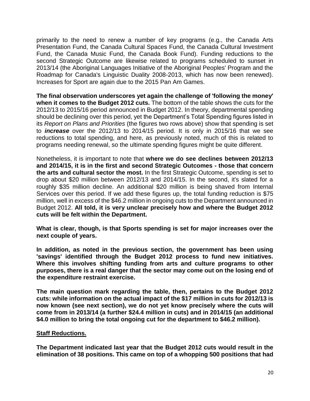primarily to the need to renew a number of key programs (e.g., the Canada Arts Presentation Fund, the Canada Cultural Spaces Fund, the Canada Cultural Investment Fund, the Canada Music Fund, the Canada Book Fund). Funding reductions to the second Strategic Outcome are likewise related to programs scheduled to sunset in 2013/14 (the Aboriginal Languages Initiative of the Aboriginal Peoples' Program and the Roadmap for Canada's Linguistic Duality 2008-2013, which has now been renewed). Increases for Sport are again due to the 2015 Pan Am Games.

**The final observation underscores yet again the challenge of 'following the money' when it comes to the Budget 2012 cuts.** The bottom of the table shows the cuts for the 2012/13 to 2015/16 period announced in Budget 2012. In theory, departmental spending should be declining over this period, yet the Department's Total Spending figures listed in its *Report on Plans and Priorities* (the figures two rows above) show that spending is set to *increase* over the 2012/13 to 2014/15 period. It is only in 2015/16 that we see reductions to total spending, and here, as previously noted, much of this is related to programs needing renewal, so the ultimate spending figures might be quite different.

Nonetheless, it is important to note that **where we do see declines between 2012/13 and 2014/15, it is in the first and second Strategic Outcomes - those that concern the arts and cultural sector the most.** In the first Strategic Outcome, spending is set to drop about \$20 million between 2012/13 and 2014/15. In the second, it's slated for a roughly \$35 million decline. An additional \$20 million is being shaved from Internal Services over this period. If we add these figures up, the total funding reduction is \$75 million, well in excess of the \$46.2 million in ongoing cuts to the Department announced in Budget 2012. **All told, it is very unclear precisely how and where the Budget 2012 cuts will be felt within the Department.** 

**What is clear, though, is that Sports spending is set for major increases over the next couple of years.** 

**In addition, as noted in the previous section, the government has been using 'savings' identified through the Budget 2012 process to fund new initiatives. Where this involves shifting funding from arts and culture programs to other purposes, there is a real danger that the sector may come out on the losing end of the expenditure restraint exercise.** 

**The main question mark regarding the table, then, pertains to the Budget 2012 cuts: while information on the actual impact of the \$17 million in cuts for 2012/13 is now known (see next section), we do not yet know precisely where the cuts will come from in 2013/14 (a further \$24.4 million in cuts) and in 2014/15 (an additional \$4.0 million to bring the total ongoing cut for the department to \$46.2 million).** 

#### **Staff Reductions.**

**The Department indicated last year that the Budget 2012 cuts would result in the elimination of 38 positions. This came on top of a whopping 500 positions that had**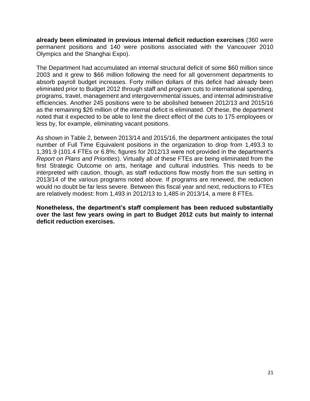**already been eliminated in previous internal deficit reduction exercises** (360 were permanent positions and 140 were positions associated with the Vancouver 2010 Olympics and the Shanghai Expo).

The Department had accumulated an internal structural deficit of some \$60 million since 2003 and it grew to \$66 million following the need for all government departments to absorb payroll budget increases. Forty million dollars of this deficit had already been eliminated prior to Budget 2012 through staff and program cuts to international spending, programs, travel, management and intergovernmental issues, and internal administrative efficiencies. Another 245 positions were to be abolished between 2012/13 and 2015/16 as the remaining \$26 million of the internal deficit is eliminated. Of these, the department noted that it expected to be able to limit the direct effect of the cuts to 175 employees or less by, for example, eliminating vacant positions.

As shown in Table 2, between 2013/14 and 2015/16, the department anticipates the total number of Full Time Equivalent positions in the organization to drop from 1,493.3 to 1,391.9 (101.4 FTEs or 6.8%; figures for 2012/13 were not provided in the department's *Report on Plans and Priorities*). Virtually all of these FTEs are being eliminated from the first Strategic Outcome on arts, heritage and cultural industries. This needs to be interpreted with caution, though, as staff reductions flow mostly from the sun setting in 2013/14 of the various programs noted above. If programs are renewed, the reduction would no doubt be far less severe. Between this fiscal year and next, reductions to FTEs are relatively modest: from 1,493 in 2012/13 to 1,485 in 2013/14, a mere 8 FTEs.

**Nonetheless, the department's staff complement has been reduced substantially over the last few years owing in part to Budget 2012 cuts but mainly to internal deficit reduction exercises.**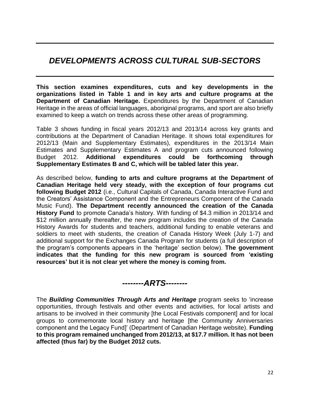# *DEVELOPMENTS ACROSS CULTURAL SUB-SECTORS*

**This section examines expenditures, cuts and key developments in the organizations listed in Table 1 and in key arts and culture programs at the Department of Canadian Heritage.** Expenditures by the Department of Canadian Heritage in the areas of official languages, aboriginal programs, and sport are also briefly examined to keep a watch on trends across these other areas of programming.

Table 3 shows funding in fiscal years 2012/13 and 2013/14 across key grants and contributions at the Department of Canadian Heritage. It shows total expenditures for 2012/13 (Main and Supplementary Estimates), expenditures in the 2013/14 Main Estimates and Supplementary Estimates A and program cuts announced following Budget 2012. **Additional expenditures could be forthcoming through Supplementary Estimates B and C, which will be tabled later this year.**

As described below, **funding to arts and culture programs at the Department of Canadian Heritage held very steady, with the exception of four programs cut following Budget 2012** (i.e., Cultural Capitals of Canada, Canada Interactive Fund and the Creators' Assistance Component and the Entrepreneurs Component of the Canada Music Fund). **The Department recently announced the creation of the Canada History Fund** to promote Canada's history. With funding of \$4.3 million in 2013/14 and \$12 million annually thereafter, the new program includes the creation of the Canada History Awards for students and teachers, additional funding to enable veterans and soldiers to meet with students, the creation of Canada History Week (July 1-7) and additional support for the Exchanges Canada Program for students (a full description of the program's components appears in the 'heritage' section below). **The government indicates that the funding for this new program is sourced from 'existing resources' but it is not clear yet where the money is coming from.**

*--------ARTS--------*

The *Building Communities Through Arts and Heritage* program seeks to 'increase opportunities, through festivals and other events and activities, for local artists and artisans to be involved in their community [the Local Festivals component] and for local groups to commemorate local history and heritage [the Community Anniversaries component and the Legacy Fund]' (Department of Canadian Heritage website). **Funding to this program remained unchanged from 2012/13, at \$17.7 million. It has not been affected (thus far) by the Budget 2012 cuts.**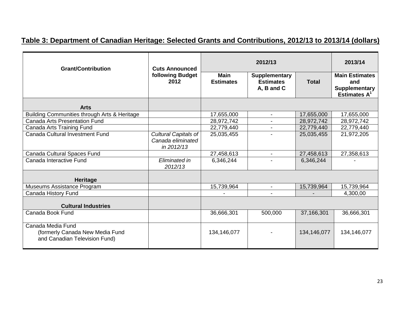# **Table 3: Department of Canadian Heritage: Selected Grants and Contributions, 2012/13 to 2013/14 (dollars)**

| <b>Grant/Contribution</b>                                                             | <b>Cuts Announced</b>                                   |                                 | 2013/14                                                |              |                                                                            |
|---------------------------------------------------------------------------------------|---------------------------------------------------------|---------------------------------|--------------------------------------------------------|--------------|----------------------------------------------------------------------------|
|                                                                                       | following Budget<br>2012                                | <b>Main</b><br><b>Estimates</b> | <b>Supplementary</b><br><b>Estimates</b><br>A, B and C | <b>Total</b> | <b>Main Estimates</b><br>and<br><b>Supplementary</b><br><b>Estimates A</b> |
| <b>Arts</b>                                                                           |                                                         |                                 |                                                        |              |                                                                            |
| Building Communities through Arts & Heritage                                          |                                                         | 17,655,000                      | $\blacksquare$                                         | 17,655,000   | 17,655,000                                                                 |
| <b>Canada Arts Presentation Fund</b>                                                  |                                                         | 28,972,742                      | $\blacksquare$                                         | 28,972,742   | 28,972,742                                                                 |
| Canada Arts Training Fund                                                             |                                                         | 22,779,440                      |                                                        | 22,779,440   | 22,779,440                                                                 |
| Canada Cultural Investment Fund                                                       | Cultural Capitals of<br>Canada eliminated<br>in 2012/13 | 25,035,455                      |                                                        | 25,035,455   | 21,972,205                                                                 |
| Canada Cultural Spaces Fund                                                           |                                                         | 27,458,613                      |                                                        | 27,458,613   | 27,358,613                                                                 |
| Canada Interactive Fund                                                               | Eliminated in<br>2012/13                                | 6,346,244                       |                                                        | 6,346,244    |                                                                            |
| Heritage                                                                              |                                                         |                                 |                                                        |              |                                                                            |
| Museums Assistance Program                                                            |                                                         | 15,739,964                      | $\blacksquare$                                         | 15,739,964   | 15,739,964                                                                 |
| Canada History Fund                                                                   |                                                         |                                 |                                                        |              | 4,300,00                                                                   |
| <b>Cultural Industries</b>                                                            |                                                         |                                 |                                                        |              |                                                                            |
| Canada Book Fund                                                                      |                                                         | 36,666,301                      | 500,000                                                | 37,166,301   | 36,666,301                                                                 |
| Canada Media Fund<br>(formerly Canada New Media Fund<br>and Canadian Television Fund) |                                                         | 134,146,077                     |                                                        | 134,146,077  | 134,146,077                                                                |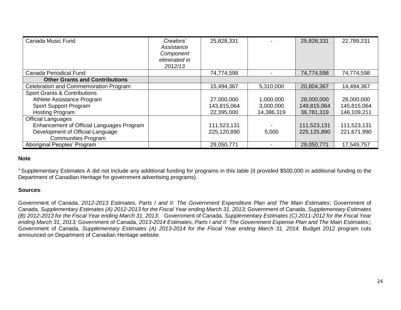| Canada Music Fund                         | Creators'<br>Assistance<br>Component<br>eliminated in<br>2012/13 | 25,828,331  |            | 25,828,331  | 22,789,231  |
|-------------------------------------------|------------------------------------------------------------------|-------------|------------|-------------|-------------|
| Canada Periodical Fund                    |                                                                  | 74,774,598  |            | 74,774,598  | 74,774,598  |
| <b>Other Grants and Contributions</b>     |                                                                  |             |            |             |             |
| Celebration and Commemoration Program     |                                                                  | 15,494,367  | 5,310,000  | 20,804,367  | 14,494,367  |
| <b>Sport Grants &amp; Contributions</b>   |                                                                  |             |            |             |             |
| Athlete Assistance Program                |                                                                  | 27,000,000  | 1,000,000  | 28,000,000  | 28,000,000  |
| Sport Support Program                     |                                                                  | 143,815,064 | 3,000,000  | 149,815,064 | 145,815,064 |
| <b>Hosting Program</b>                    |                                                                  | 22,395,000  | 14,386,319 | 36,781,319  | 146,109,211 |
| <b>Official Languages</b>                 |                                                                  |             |            |             |             |
| Enhancement of Official Languages Program |                                                                  | 111,523,131 |            | 111,523,131 | 111,523,131 |
| Development of Official-Language          |                                                                  | 225,120,890 | 5,000      | 225,125,890 | 221,671,990 |
| <b>Communities Program</b>                |                                                                  |             |            |             |             |
| Aboriginal Peoples' Program               |                                                                  | 29,050,771  |            | 29,050,771  | 17,549,757  |

#### **Note**

<sup>1</sup> Supplementary Estimates A did not include any additional funding for programs in this table (it provided \$500,000 in additional funding to the Department of Canadian Heritage for government advertising programs).

#### **Sources**:

Government of Canada, *2012-2013 Estimates, Parts I and II: The Government Expenditure Plan and The Main Estimates*; Government of Canada, *Supplementary Estimates (A) 2012-2013 for the Fiscal Year ending March 31, 2013;* Government of Canada, *Supplementary Estimates (B) 2012-2013 for the Fiscal Year ending March 31, 2013*; Government of Canada, *Supplementary Estimates (C) 2011-2012 for the Fiscal Year ending March 31, 2013;* Government of Canada, *2013-2014 Estimates, Parts I and II: The Government Expense Plan and The Main Estimates*;; Government of Canada, Supplementary Estimates (A) 2013-2014 for the Fiscal Year ending March 31, 2014. Budget 2012 program cuts announced on Department of Canadian Heritage website.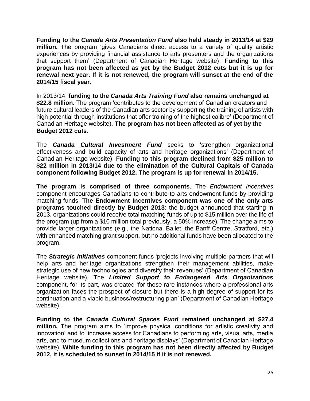**Funding to the** *Canada Arts Presentation Fund* **also held steady in 2013/14 at \$29 million.** The program 'gives Canadians direct access to a variety of quality artistic experiences by providing financial assistance to arts presenters and the organizations that support them' (Department of Canadian Heritage website). **Funding to this program has not been affected as yet by the Budget 2012 cuts but it is up for renewal next year. If it is not renewed, the program will sunset at the end of the 2014/15 fiscal year.**

In 2013/14, **funding to the** *Canada Arts Training Fund* **also remains unchanged at \$22.8 million.** The program 'contributes to the development of Canadian creators and future cultural leaders of the Canadian arts sector by supporting the training of artists with high potential through institutions that offer training of the highest calibre' (Department of Canadian Heritage website). **The program has not been affected as of yet by the Budget 2012 cuts.**

The *Canada Cultural Investment Fund* seeks to 'strengthen organizational effectiveness and build capacity of arts and heritage organizations' (Department of Canadian Heritage website). **Funding to this program declined from \$25 million to \$22 million in 2013/14 due to the elimination of the Cultural Capitals of Canada component following Budget 2012. The program is up for renewal in 2014/15.** 

**The program is comprised of three components**. The *Endowment Incentives*  component encourages Canadians to contribute to arts endowment funds by providing matching funds. **The Endowment Incentives component was one of the only arts programs touched directly by Budget 2013**: the budget announced that starting in 2013, organizations could receive total matching funds of up to \$15 million over the life of the program (up from a \$10 million total previously, a 50% increase). The change aims to provide larger organizations (e.g., the National Ballet, the Banff Centre, Stratford, etc.) with enhanced matching grant support, but no additional funds have been allocated to the program.

The *Strategic Initiatives* component funds 'projects involving multiple partners that will help arts and heritage organizations strengthen their management abilities, make strategic use of new technologies and diversify their revenues' (Department of Canadian Heritage website). The *Limited Support to Endangered Arts Organizations* component, for its part, was created 'for those rare instances where a professional arts organization faces the prospect of closure but there is a high degree of support for its continuation and a viable business/restructuring plan' (Department of Canadian Heritage website).

**Funding to the** *Canada Cultural Spaces Fund* **remained unchanged at \$27.4 million.** The program aims to 'improve physical conditions for artistic creativity and innovation' and to 'increase access for Canadians to performing arts, visual arts, media arts, and to museum collections and heritage displays' (Department of Canadian Heritage website). **While funding to this program has not been directly affected by Budget 2012, it is scheduled to sunset in 2014/15 if it is not renewed.**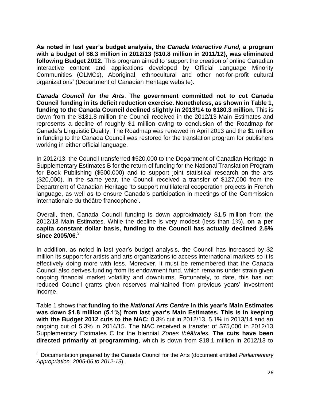**As noted in last year's budget analysis, the** *Canada Interactive Fund,* **a program with a budget of \$6.3 million in 2012/13 (\$10.8 million in 2011/12), was eliminated following Budget 2012.** This program aimed to 'support the creation of online Canadian interactive content and applications developed by Official Language Minority Communities (OLMCs), Aboriginal, ethnocultural and other not-for-profit cultural organizations' (Department of Canadian Heritage website).

*Canada Council for the Arts*. **The government committed not to cut Canada Council funding in its deficit reduction exercise. Nonetheless, as shown in Table 1, funding to the Canada Council declined slightly in 2013/14 to \$180.3 million.** This is down from the \$181.8 million the Council received in the 2012/13 Main Estimates and represents a decline of roughly \$1 million owing to conclusion of the Roadmap for Canada's Linguistic Duality. The Roadmap was renewed in April 2013 and the \$1 million in funding to the Canada Council was restored for the translation program for publishers working in either official language.

In 2012/13, the Council transferred \$520,000 to the Department of Canadian Heritage in Supplementary Estimates B for the return of funding for the National Translation Program for Book Publishing (\$500,000) and to support joint statistical research on the arts (\$20,000). In the same year, the Council received a transfer of \$127,000 from the Department of Canadian Heritage 'to support multilateral cooperation projects in French language, as well as to ensure Canada's participation in meetings of the Commission internationale du théâtre francophone'.

Overall, then, Canada Council funding is down approximately \$1.5 million from the 2012/13 Main Estimates. While the decline is very modest (less than 1%), **on a per capita constant dollar basis, funding to the Council has actually declined 2.5% since 2005/06**. 3

In addition, as noted in last year's budget analysis, the Council has increased by \$2 million its support for artists and arts organizations to access international markets so it is effectively doing more with less. Moreover, it must be remembered that the Canada Council also derives funding from its endowment fund, which remains under strain given ongoing financial market volatility and downturns. Fortunately, to date, this has not reduced Council grants given reserves maintained from previous years' investment income.

Table 1 shows that **funding to the** *National Arts Centre* **in this year's Main Estimates was down \$1.8 million (5.1%) from last year's Main Estimates. This is in keeping with the Budget 2012 cuts to the NAC:** 0.3% cut in 2012/13, 5.1% in 2013/14 and an ongoing cut of 5.3% in 2014/15. The NAC received a transfer of \$75,000 in 2012/13 Supplementary Estimates C for the biennial *Zones théâtrales.* **The cuts have been directed primarily at programming**, which is down from \$18.1 million in 2012/13 to

**.** 

<sup>3</sup> Documentation prepared by the Canada Council for the Arts (document entitled *Parliamentary Appropriation, 2005-06 to 2012-13*).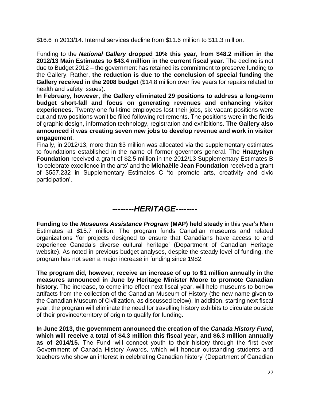\$16.6 in 2013/14. Internal services decline from \$11.6 million to \$11.3 million.

Funding to the *National Gallery* **dropped 10% this year, from \$48.2 million in the 2012/13 Main Estimates to \$43.4 million in the current fiscal year**. The decline is not due to Budget 2012 – the government has retained its commitment to preserve funding to the Gallery. Rather, **the reduction is due to the conclusion of special funding the Gallery received in the 2008 budget** (\$14.8 million over five years for repairs related to health and safety issues).

**In February, however, the Gallery eliminated 29 positions to address a long-term budget short-fall and focus on generating revenues and enhancing visitor experiences.** Twenty-one full-time employees lost their jobs, six vacant positions were cut and two positions won't be filled following retirements. The positions were in the fields of graphic design, information technology, registration and exhibitions. **The Gallery also announced it was creating seven new jobs to develop revenue and work in visitor engagement**.

Finally, in 2012/13, more than \$3 million was allocated via the supplementary estimates to foundations established in the name of former governors general. The **Hnatyshyn Foundation** received a grant of \$2.5 million in the 2012/13 Supplementary Estimates B 'to celebrate excellence in the arts' and the **Michaëlle Jean Foundation** received a grant of \$557,232 in Supplementary Estimates C 'to promote arts, creativity and civic participation'.

# *--------HERITAGE--------*

**Funding to the** *Museums Assistance Program* **(MAP) held steady** in this year's Main Estimates at \$15.7 million. The program funds Canadian museums and related organizations 'for projects designed to ensure that Canadians have access to and experience Canada's diverse cultural heritage' (Department of Canadian Heritage website). As noted in previous budget analyses, despite the steady level of funding, the program has not seen a major increase in funding since 1982.

**The program did, however, receive an increase of up to \$1 million annually in the measures announced in June by Heritage Minister Moore to promote Canadian history.** The increase, to come into effect next fiscal year, will help museums to borrow artifacts from the collection of the Canadian Museum of History (the new name given to the Canadian Museum of Civilization, as discussed below). In addition, starting next fiscal year, the program will eliminate the need for travelling history exhibits to circulate outside of their province/territory of origin to qualify for funding.

**In June 2013, the government announced the creation of the** *Canada History Fund***, which will receive a total of \$4.3 million this fiscal year, and \$6.3 million annually as of 2014/15.** The Fund 'will connect youth to their history through the first ever Government of Canada History Awards, which will honour outstanding students and teachers who show an interest in celebrating Canadian history' (Department of Canadian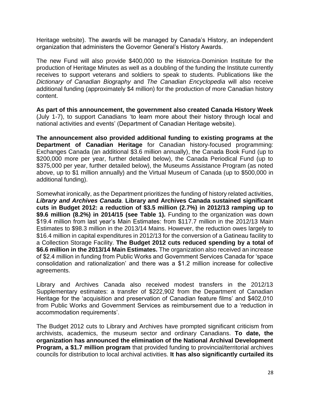Heritage website). The awards will be managed by Canada's History, an independent organization that administers the Governor General's History Awards.

The new Fund will also provide \$400,000 to the Historica-Dominion Institute for the production of Heritage Minutes as well as a doubling of the funding the Institute currently receives to support veterans and soldiers to speak to students. Publications like the *Dictionary of Canadian Biography* and *The Canadian Encyclopedia* will also receive additional funding (approximately \$4 million) for the production of more Canadian history content.

**As part of this announcement, the government also created Canada History Week**  (July 1-7), to support Canadians 'to learn more about their history through local and national activities and events' (Department of Canadian Heritage website).

**The announcement also provided additional funding to existing programs at the Department of Canadian Heritage** for Canadian history-focused programming: Exchanges Canada (an additional \$3.6 million annually), the Canada Book Fund (up to \$200,000 more per year, further detailed below), the Canada Periodical Fund (up to \$375,000 per year, further detailed below), the Museums Assistance Program (as noted above, up to \$1 million annually) and the Virtual Museum of Canada (up to \$500,000 in additional funding).

Somewhat ironically, as the Department prioritizes the funding of history related activities, *Library and Archives Canada*. **Library and Archives Canada sustained significant cuts in Budget 2012: a reduction of \$3.5 million (2.7%) in 2012/13 ramping up to \$9.6 million (8.2%) in 2014/15 (see Table 1).** Funding to the organization was down \$19.4 million from last year's Main Estimates: from \$117.7 million in the 2012/13 Main Estimates to \$98.3 million in the 2013/14 Mains. However, the reduction owes largely to \$16.4 million in capital expenditures in 2012/13 for the conversion of a Gatineau facility to a Collection Storage Facility. **The Budget 2012 cuts reduced spending by a total of \$6.6 million in the 2013/14 Main Estimates.** The organization also received an increase of \$2.4 million in funding from Public Works and Government Services Canada for 'space consolidation and rationalization' and there was a \$1.2 million increase for collective agreements.

Library and Archives Canada also received modest transfers in the 2012/13 Supplementary estimates: a transfer of \$222,902 from the Department of Canadian Heritage for the 'acquisition and preservation of Canadian feature films' and \$402,010 from Public Works and Government Services as reimbursement due to a 'reduction in accommodation requirements'.

The Budget 2012 cuts to Library and Archives have prompted significant criticism from archivists, academics, the museum sector and ordinary Canadians. **To date, the organization has announced the elimination of the National Archival Development Program, a \$1.7 million program** that provided funding to provincial/territorial archives councils for distribution to local archival activities. **It has also significantly curtailed its**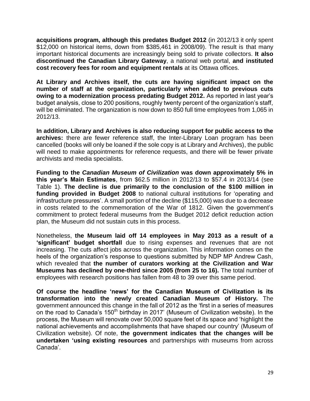**acquisitions program, although this predates Budget 2012** (in 2012/13 it only spent \$12,000 on historical items, down from \$385,461 in 2008/09). The result is that many important historical documents are increasingly being sold to private collectors. **It also discontinued the Canadian Library Gateway**, a national web portal, **and instituted cost recovery fees for room and equipment rentals** at its Ottawa offices.

**At Library and Archives itself, the cuts are having significant impact on the number of staff at the organization, particularly when added to previous cuts owing to a modernization process predating Budget 2012.** As reported in last year's budget analysis, close to 200 positions, roughly twenty percent of the organization's staff, will be eliminated. The organization is now down to 850 full time employees from 1,065 in 2012/13.

**In addition, Library and Archives is also reducing support for public access to the archives:** there are fewer reference staff, the Inter-Library Loan program has been cancelled (books will only be loaned if the sole copy is at Library and Archives), the public will need to make appointments for reference requests, and there will be fewer private archivists and media specialists.

**Funding to the** *Canadian Museum of Civilization* **was down approximately 5% in this year's Main Estimates**, from \$62.5 million in 2012/13 to \$57.4 in 2013/14 (see Table 1). **The decline is due primarily to the conclusion of the \$100 million in funding provided in Budget 2008** to national cultural institutions for 'operating and infrastructure pressures'. A small portion of the decline (\$115,000) was due to a decrease in costs related to the commemoration of the War of 1812. Given the government's commitment to protect federal museums from the Budget 2012 deficit reduction action plan, the Museum did not sustain cuts in this process.

Nonetheless, **the Museum laid off 14 employees in May 2013 as a result of a 'significant' budget shortfall** due to rising expenses and revenues that are not increasing. The cuts affect jobs across the organization. This information comes on the heels of the organization's response to questions submitted by NDP MP Andrew Cash, which revealed that **the number of curators working at the Civilization and War Museums has declined by one-third since 2005 (from 25 to 16).** The total number of employees with research positions has fallen from 48 to 39 over this same period.

**Of course the headline 'news' for the Canadian Museum of Civilization is its transformation into the newly created Canadian Museum of History.** The government announced this change in the fall of 2012 as the 'first in a series of measures on the road to Canada's 150<sup>th</sup> birthday in 2017' (Museum of Civilization website). In the process, the Museum will renovate over 50,000 square feet of its space and 'highlight the national achievements and accomplishments that have shaped our country' (Museum of Civilization website). Of note, **the government indicates that the changes will be undertaken 'using existing resources** and partnerships with museums from across Canada'.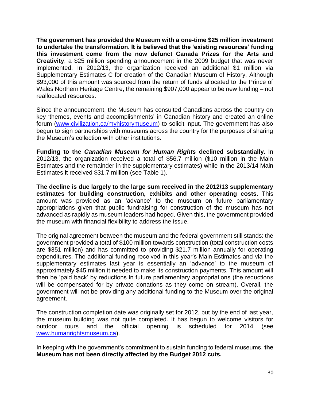**The government has provided the Museum with a one-time \$25 million investment to undertake the transformation. It is believed that the 'existing resources' funding this investment come from the now defunct Canada Prizes for the Arts and Creativity**, a \$25 million spending announcement in the 2009 budget that was never implemented. In 2012/13, the organization received an additional \$1 million via Supplementary Estimates C for creation of the Canadian Museum of History. Although \$93,000 of this amount was sourced from the return of funds allocated to the Prince of Wales Northern Heritage Centre, the remaining \$907,000 appear to be new funding – not reallocated resources.

Since the announcement, the Museum has consulted Canadians across the country on key 'themes, events and accomplishments' in Canadian history and created an online forum [\(www.civilization.ca/myhistorymuseum\)](http://www.civilization.ca/myhistorymuseum) to solicit input. The government has also begun to sign partnerships with museums across the country for the purposes of sharing the Museum's collection with other institutions.

**Funding to the** *Canadian Museum for Human Rights* **declined substantially**. In 2012/13, the organization received a total of \$56.7 million (\$10 million in the Main Estimates and the remainder in the supplementary estimates) while in the 2013/14 Main Estimates it received \$31.7 million (see Table 1).

**The decline is due largely to the large sum received in the 2012/13 supplementary estimates for building construction, exhibits and other operating costs**. This amount was provided as an 'advance' to the museum on future parliamentary appropriations given that public fundraising for construction of the museum has not advanced as rapidly as museum leaders had hoped. Given this, the government provided the museum with financial flexibility to address the issue.

The original agreement between the museum and the federal government still stands: the government provided a total of \$100 million towards construction (total construction costs are \$351 million) and has committed to providing \$21.7 million annually for operating expenditures. The additional funding received in this year's Main Estimates and via the supplementary estimates last year is essentially an 'advance' to the museum of approximately \$45 million it needed to make its construction payments. This amount will then be 'paid back' by reductions in future parliamentary appropriations (the reductions will be compensated for by private donations as they come on stream). Overall, the government will not be providing any additional funding to the Museum over the original agreement.

The construction completion date was originally set for 2012, but by the end of last year, the museum building was not quite completed. It has begun to welcome visitors for outdoor tours and the official opening is scheduled for 2014 (see [www.humanrightsmuseum.ca\)](http://www.humanrightsmuseum.ca/).

In keeping with the government's commitment to sustain funding to federal museums, **the Museum has not been directly affected by the Budget 2012 cuts.**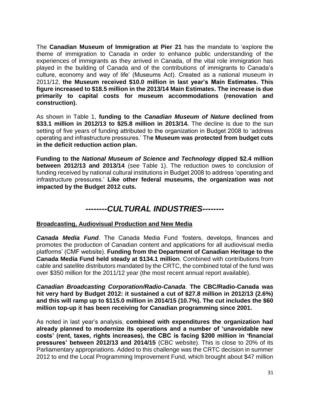The **Canadian Museum of Immigration at Pier 21** has the mandate to 'explore the theme of immigration to Canada in order to enhance public understanding of the experiences of immigrants as they arrived in Canada, of the vital role immigration has played in the building of Canada and of the contributions of immigrants to Canada's culture, economy and way of life' (Museums Act). Created as a national museum in 2011/12, **the Museum received \$10.0 million in last year's Main Estimates. This figure increased to \$18.5 million in the 2013/14 Main Estimates. The increase is due primarily to capital costs for museum accommodations (renovation and construction).**

As shown in Table 1, **funding to the** *Canadian Museum of Nature* **declined from \$33.1 million in 2012/13 to \$25.8 million in 2013/14.** The decline is due to the sun setting of five years of funding attributed to the organization in Budget 2008 to 'address operating and infrastructure pressures.' Th**e Museum was protected from budget cuts in the deficit reduction action plan.**

**Funding to the** *National Museum of Science and Technology* **dipped \$2.4 million between 2012/13 and 2013/14** (see Table 1). The reduction owes to conclusion of funding received by national cultural institutions in Budget 2008 to address 'operating and infrastructure pressures.' **Like other federal museums, the organization was not impacted by the Budget 2012 cuts.**

# *--------CULTURAL INDUSTRIES--------*

#### **Broadcasting, Audiovisual Production and New Media**

*Canada Media Fund*. The Canada Media Fund 'fosters, develops, finances and promotes the production of Canadian content and applications for all audiovisual media platforms' (CMF website). **Funding from the Department of Canadian Heritage to the Canada Media Fund held steady at \$134.1 million**. Combined with contributions from cable and satellite distributors mandated by the CRTC, the combined total of the fund was over \$350 million for the 2011/12 year (the most recent annual report available).

*Canadian Broadcasting Corporation/Radio-Canada*. **The CBC/Radio-Canada was hit very hard by Budget 2012: it sustained a cut of \$27.8 million in 2012/13 (2.6%) and this will ramp up to \$115.0 million in 2014/15 (10.7%). The cut includes the \$60 million top-up it has been receiving for Canadian programming since 2001.** 

As noted in last year's analysis, **combined with expenditures the organization had already planned to modernize its operations and a number of 'unavoidable new costs' (rent, taxes, rights increases), the CBC is facing \$200 million in 'financial pressures' between 2012/13 and 2014/15** (CBC website). This is close to 20% of its Parliamentary appropriations. Added to this challenge was the CRTC decision in summer 2012 to end the Local Programming Improvement Fund, which brought about \$47 million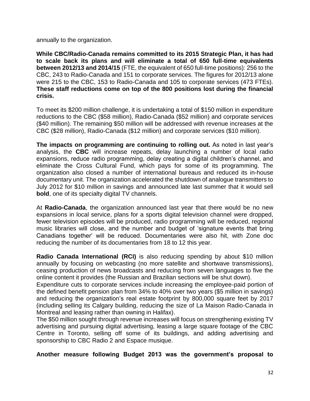annually to the organization.

**While CBC/Radio-Canada remains committed to its 2015 Strategic Plan, it has had to scale back its plans and will eliminate a total of 650 full-time equivalents between 2012/13 and 2014/15** (FTE, the equivalent of 650 full-time positions): 256 to the CBC, 243 to Radio-Canada and 151 to corporate services. The figures for 2012/13 alone were 215 to the CBC, 153 to Radio-Canada and 105 to corporate services (473 FTEs). **These staff reductions come on top of the 800 positions lost during the financial crisis.**

To meet its \$200 million challenge, it is undertaking a total of \$150 million in expenditure reductions to the CBC (\$58 million), Radio-Canada (\$52 million) and corporate services (\$40 million). The remaining \$50 million will be addressed with revenue increases at the CBC (\$28 million), Radio-Canada (\$12 million) and corporate services (\$10 million).

**The impacts on programming are continuing to rolling out.** As noted in last year's analysis, the **CBC** will increase repeats, delay launching a number of local radio expansions, reduce radio programming, delay creating a digital children's channel, and eliminate the Cross Cultural Fund, which pays for some of its programming. The organization also closed a number of international bureaus and reduced its in-house documentary unit. The organization accelerated the shutdown of analogue transmitters to July 2012 for \$10 million in savings and announced late last summer that it would sell **bold**, one of its specialty digital TV channels.

At **Radio-Canada**, the organization announced last year that there would be no new expansions in local service, plans for a sports digital television channel were dropped, fewer television episodes will be produced, radio programming will be reduced, regional music libraries will close, and the number and budget of 'signature events that bring Canadians together' will be reduced. Documentaries were also hit, with Zone doc reducing the number of its documentaries from 18 to 12 this year.

**Radio Canada International (RCI)** is also reducing spending by about \$10 million annually by focusing on webcasting (no more satellite and shortwave transmissions), ceasing production of news broadcasts and reducing from seven languages to five the online content it provides (the Russian and Brazilian sections will be shut down).

Expenditure cuts to corporate services include increasing the employee-paid portion of the defined benefit pension plan from 34% to 40% over two years (\$5 million in savings) and reducing the organization's real estate footprint by 800,000 square feet by 2017 (including selling its Calgary building, reducing the size of La Maison Radio-Canada in Montreal and leasing rather than owning in Halifax).

The \$50 million sought through revenue increases will focus on strengthening existing TV advertising and pursuing digital advertising, leasing a large square footage of the CBC Centre in Toronto, selling off some of its buildings, and adding advertising and sponsorship to CBC Radio 2 and Espace musique.

**Another measure following Budget 2013 was the government's proposal to**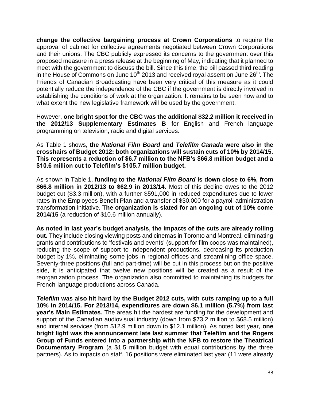**change the collective bargaining process at Crown Corporations** to require the approval of cabinet for collective agreements negotiated between Crown Corporations and their unions. The CBC publicly expressed its concerns to the government over this proposed measure in a press release at the beginning of May, indicating that it planned to meet with the government to discuss the bill. Since this time, the bill passed third reading in the House of Commons on June 10<sup>th</sup> 2013 and received royal assent on June 26<sup>th</sup>. The Friends of Canadian Broadcasting have been very critical of this measure as it could potentially reduce the independence of the CBC if the government is directly involved in establishing the conditions of work at the organization. It remains to be seen how and to what extent the new legislative framework will be used by the government.

However, **one bright spot for the CBC was the additional \$32.2 million it received in the 2012/13 Supplementary Estimates B** for English and French language programming on television, radio and digital services.

As Table 1 shows, **the** *National Film Board* **and** *Telefilm Canada* **were also in the crosshairs of Budget 2012: both organizations will sustain cuts of 10% by 2014/15. This represents a reduction of \$6.7 million to the NFB's \$66.8 million budget and a \$10.6 million cut to Telefilm's \$105.7 million budget.**

As shown in Table 1, **funding to the** *National Film Board* **is down close to 6%, from \$66.8 million in 2012/13 to \$62.9 in 2013/14.** Most of this decline owes to the 2012 budget cut (\$3.3 million), with a further \$591,000 in reduced expenditures due to lower rates in the Employees Benefit Plan and a transfer of \$30,000 for a payroll administration transformation initiative. **The organization is slated for an ongoing cut of 10% come 2014/15** (a reduction of \$10.6 million annually).

**As noted in last year's budget analysis, the impacts of the cuts are already rolling out.** They include closing viewing posts and cinemas in Toronto and Montreal, eliminating grants and contributions to 'festivals and events' (support for film coops was maintained), reducing the scope of support to independent productions, decreasing its production budget by 1%, eliminating some jobs in regional offices and streamlining office space. Seventy-three positions (full and part-time) will be cut in this process but on the positive side, it is anticipated that twelve new positions will be created as a result of the reorganization process. The organization also committed to maintaining its budgets for French-language productions across Canada.

*Telefilm* **was also hit hard by the Budget 2012 cuts, with cuts ramping up to a full 10% in 2014/15. For 2013/14, expenditures are down \$6.1 million (5.7%) from last year's Main Estimates.** The areas hit the hardest are funding for the development and support of the Canadian audiovisual industry (down from \$73.2 million to \$68.5 million) and internal services (from \$12.9 million down to \$12.1 million). As noted last year, **one bright light was the announcement late last summer that Telefilm and the Rogers Group of Funds entered into a partnership with the NFB to restore the Theatrical Documentary Program** (a \$1.5 million budget with equal contributions by the three partners). As to impacts on staff, 16 positions were eliminated last year (11 were already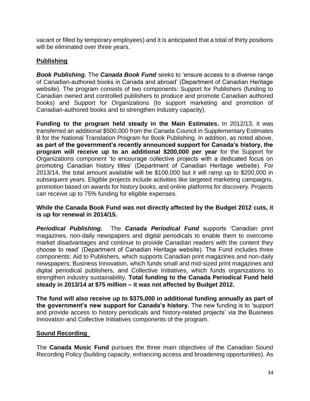vacant or filled by temporary employees) and it is anticipated that a total of thirty positions will be eliminated over three years.

#### **Publishing**

*Book Publishing.* The *Canada Book Fund* seeks to 'ensure access to a diverse range of Canadian-authored books in Canada and abroad' (Department of Canadian Heritage website). The program consists of two components: Support for Publishers (funding to Canadian owned and controlled publishers to produce and promote Canadian authored books) and Support for Organizations (to support marketing and promotion of Canadian-authored books and to strengthen industry capacity).

**Funding to the program held steady in the Main Estimates.** In 2012/13, it was transferred an additional \$500,000 from the Canada Council in Supplementary Estimates B for the National Translation Program for Book Publishing. In addition, as noted above, **as part of the government's recently announced support for Canada's history, the program will receive up to an additional \$200,000 per year** for the Support for Organizations component 'to encourage collective projects with a dedicated focus on promoting Canadian history titles' (Department of Canadian Heritage website). For 2013/14, the total amount available will be \$100,000 but it will ramp up to \$200,000 in subsequent years. Eligible projects include activities like targeted marketing campaigns, promotion based on awards for history books, and online platforms for discovery. Projects can receive up to 75% funding for eligible expenses.

#### **While the Canada Book Fund was not directly affected by the Budget 2012 cuts, it is up for renewal in 2014/15.**

*Periodical Publishing.* The *Canada Periodical Fund* supports 'Canadian print magazines, non-daily newspapers and digital periodicals to enable them to overcome market disadvantages and continue to provide Canadian readers with the content they choose to read' (Department of Canadian Heritage website). The Fund includes three components: Aid to Publishers, which supports Canadian print magazines and non-daily newspapers; Business Innovation, which funds small and mid-sized print magazines and digital periodical publishers, and Collective Initiatives, which funds organizations to strengthen industry sustainability. **Total funding to the Canada Periodical Fund held steady in 2013/14 at \$75 million – it was not affected by Budget 2012.** 

**The fund will also receive up to \$375,000 in additional funding annually as part of the government's new support for Canada's history.** The new funding is to 'support and provide access to history periodicals and history-related projects' via the Business Innovation and Collective Initiatives components of the program.

#### **Sound Recording**

The **Canada Music Fund** pursues the three main objectives of the Canadian Sound Recording Policy (building capacity, enhancing access and broadening opportunities). As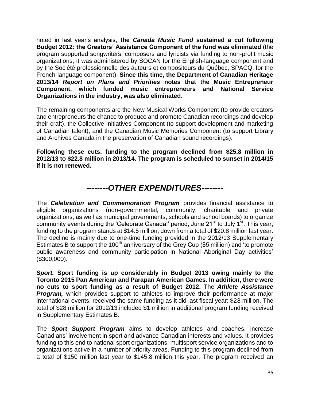noted in last year's analysis, **the** *Canada Music Fund* **sustained a cut following Budget 2012: the Creators' Assistance Component of the fund was eliminated** (the program supported songwriters, composers and lyricists via funding to non-profit music organizations; it was administered by SOCAN for the English-language component and by the Société professionnelle des auteurs et compositeurs du Québec, SPACQ, for the French-language component). **Since this time, the Department of Canadian Heritage 2013/14** *Report on Plans and Priorities* **notes that the Music Entrepreneur Component, which funded music entrepreneurs and National Service Organizations in the industry, was also eliminated.**

The remaining components are the New Musical Works Component (to provide creators and entrepreneurs the chance to produce and promote Canadian recordings and develop their craft), the Collective Initiatives Component (to support development and marketing of Canadian talent), and the Canadian Music Memories Component (to support Library and Archives Canada in the preservation of Canadian sound recordings).

**Following these cuts, funding to the program declined from \$25.8 million in 2012/13 to \$22.8 million in 2013/14. The program is scheduled to sunset in 2014/15 if it is not renewed.**

# *--------OTHER EXPENDITURES--------*

The *Celebration and Commemoration Program* provides financial assistance to eligible organizations (non-governmental, community, charitable and private organizations, as well as municipal governments, schools and school boards) to organize community events during the 'Celebrate Canada!' period, June  $21<sup>st</sup>$  to July  $1<sup>st</sup>$ . This year, funding to the program stands at \$14.5 million, down from a total of \$20.8 million last year. The decline is mainly due to one-time funding provided in the 2012/13 Supplementary Estimates B to support the 100<sup>th</sup> anniversary of the Grey Cup (\$5 million) and  $i$  to promote public awareness and community participation in National Aboriginal Day activities' (\$300,000).

*Sport.* **Sport funding is up considerably in Budget 2013 owing mainly to the Toronto 2015 Pan American and Parapan American Games. In addition, there were no cuts to sport funding as a result of Budget 2012.** The *Athlete Assistance Program,* which provides support to athletes to improve their performance at major international events, received the same funding as it did last fiscal year: \$28 million. The total of \$28 million for 2012/13 included \$1 million in additional program funding received in Supplementary Estimates B.

The *Sport Support Program* aims to develop athletes and coaches, increase Canadians' involvement in sport and advance Canadian interests and values. It provides funding to this end to national sport organizations, multisport service organizations and to organizations active in a number of priority areas. Funding to this program declined from a total of \$150 million last year to \$145.8 million this year. The program received an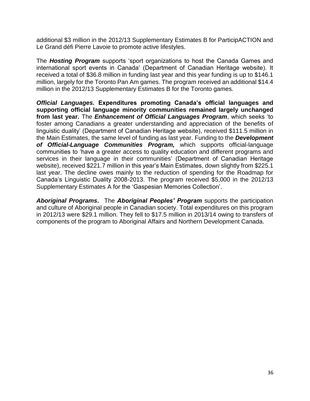additional \$3 million in the 2012/13 Supplementary Estimates B for ParticipACTION and Le Grand défi Pierre Lavoie to promote active lifestyles.

The *Hosting Program* supports 'sport organizations to host the Canada Games and international sport events in Canada' (Department of Canadian Heritage website). It received a total of \$36.8 million in funding last year and this year funding is up to \$146.1 million, largely for the Toronto Pan Am games. The program received an additional \$14.4 million in the 2012/13 Supplementary Estimates B for the Toronto games.

*Official Languages.* **Expenditures promoting Canada's official languages and supporting official language minority communities remained largely unchanged from last year.** The *Enhancement of Official Languages Program*, which seeks 'to foster among Canadians a greater understanding and appreciation of the benefits of linguistic duality' (Department of Canadian Heritage website), received \$111.5 million in the Main Estimates, the same level of funding as last year. Funding to the *Development of Official-Language Communities Program,* which supports official-language communities to 'have a greater access to quality education and different programs and services in their language in their communities' (Department of Canadian Heritage website), received \$221.7 million in this year's Main Estimates, down slightly from \$225.1 last year. The decline owes mainly to the reduction of spending for the Roadmap for Canada's Linguistic Duality 2008-2013. The program received \$5,000 in the 2012/13 Supplementary Estimates A for the 'Gaspesian Memories Collection'.

*Aboriginal Programs***.** The *Aboriginal Peoples' Program* supports the participation and culture of Aboriginal people in Canadian society. Total expenditures on this program in 2012/13 were \$29.1 million. They fell to \$17.5 million in 2013/14 owing to transfers of components of the program to Aboriginal Affairs and Northern Development Canada.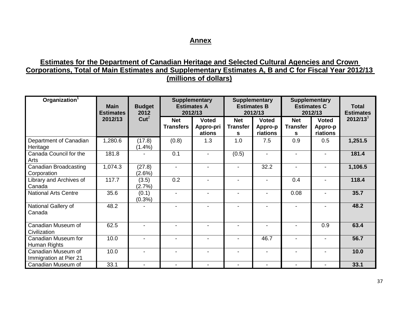#### **Annex**

### **Estimates for the Department of Canadian Heritage and Selected Cultural Agencies and Crown Corporations, Total of Main Estimates and Supplementary Estimates A, B and C for Fiscal Year 2012/13 (millions of dollars)**

| Organization <sup>1</sup>                    | <b>Main</b><br><b>Estimates</b> | <b>Budget</b><br>2012    |                                | <b>Supplementary</b><br><b>Estimates A</b><br>2012/13 |                                    | <b>Supplementary</b><br><b>Estimates B</b><br>2012/13 |                                    | <b>Supplementary</b><br><b>Estimates C</b><br>2012/13 |             |
|----------------------------------------------|---------------------------------|--------------------------|--------------------------------|-------------------------------------------------------|------------------------------------|-------------------------------------------------------|------------------------------------|-------------------------------------------------------|-------------|
|                                              | 2012/13                         | Cut <sup>2</sup>         | <b>Net</b><br><b>Transfers</b> | <b>Voted</b><br>Appro-pri<br>ations                   | <b>Net</b><br><b>Transfer</b><br>s | <b>Voted</b><br>Appro-p<br>riations                   | <b>Net</b><br><b>Transfer</b><br>s | <b>Voted</b><br>Appro-p<br>riations                   | $2012/13^3$ |
| Department of Canadian<br>Heritage           | 1,280.6                         | (17.8)<br>$(1.4\%)$      | (0.8)                          | 1.3                                                   | 1.0                                | 7.5                                                   | 0.9                                | 0.5                                                   | 1,251.5     |
| Canada Council for the<br>Arts               | 181.8                           |                          | 0.1                            |                                                       | (0.5)                              | $\blacksquare$                                        |                                    |                                                       | 181.4       |
| Canadian Broadcasting<br>Corporation         | 1,074.3                         | (27.8)<br>(2.6%)         |                                |                                                       |                                    | 32.2                                                  |                                    |                                                       | 1,106.5     |
| Library and Archives of<br>Canada            | 117.7                           | (3.5)<br>(2.7%)          | 0.2                            | ۰.                                                    | $\overline{a}$                     | $\blacksquare$                                        | 0.4                                |                                                       | 118.4       |
| <b>National Arts Centre</b>                  | 35.6                            | (0.1)<br>$(0.3\%)$       | $\blacksquare$                 | $\blacksquare$                                        | $\blacksquare$                     | $\blacksquare$                                        | 0.08                               |                                                       | 35.7        |
| National Gallery of<br>Canada                | 48.2                            |                          |                                |                                                       |                                    |                                                       |                                    |                                                       | 48.2        |
| Canadian Museum of<br>Civilization           | 62.5                            | $\overline{a}$           | $\overline{\phantom{a}}$       |                                                       | $\blacksquare$                     | $\blacksquare$                                        |                                    | 0.9                                                   | 63.4        |
| Canadian Museum for<br>Human Rights          | 10.0                            |                          |                                |                                                       |                                    | 46.7                                                  |                                    |                                                       | 56.7        |
| Canadian Museum of<br>Immigration at Pier 21 | 10.0                            | ۰                        | $\blacksquare$                 | $\blacksquare$                                        | $\blacksquare$                     | $\blacksquare$                                        |                                    |                                                       | 10.0        |
| Canadian Museum of                           | 33.1                            | $\overline{\phantom{a}}$ |                                |                                                       |                                    | $\blacksquare$                                        |                                    |                                                       | 33.1        |